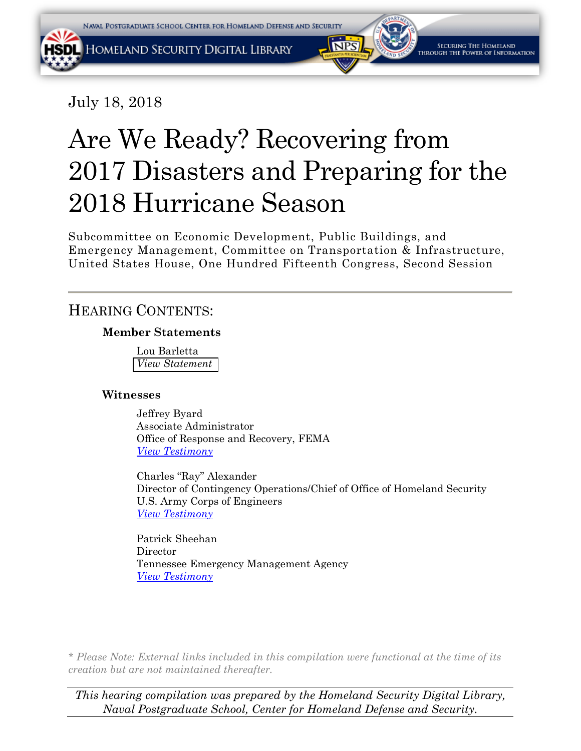July 18, 2018

# Are We Ready? Recovering from 2017 Disasters and Preparing for the 2018 Hurricane Season

Subcommittee on Economic Development, Public Buildings, and Emergency Management, Committee on Transportation & Infrastructure, United States House, One Hundred Fifteenth Congress, Second Session

# HEARING CONTENTS:

### **Member Statements**

Lou Barletta *[View Statement](#page-2-0)*

### **Witnesses**

Jeffrey Byard Associate Administrator Office of Response and Recovery, FEMA *View [Testimony](#page-3-0)*

Charles "Ray" Alexander Director of Contingency Operations/Chief of Office of Homeland Security U.S. Army Corps of Engineers *[View Testimony](#page-10-0)*

Patrick Sheehan Director Tennessee Emergency Management Agency *[View Testimony](#page-16-0)*

*\* Please Note: External links included in this compilation were functional at the time of its creation but are not maintained thereafter.* 

*This hearing compilation was prepared by the Homeland Security Digital Library, Naval Postgraduate School, Center for Homeland Defense and Security.*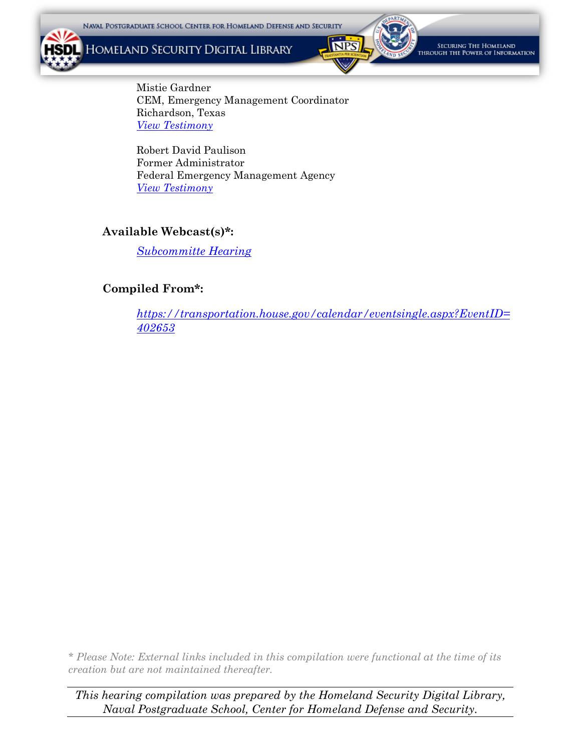HOMELAND SECURITY DIGITAL LIBRARY



.<br>Securing The Homeland<br>Rough the Power of Information

Mistie Gardner CEM, Emergency Management Coordinator Richardson, Texas *[View Testimony](#page-23-0)*

Robert David Paulison Former Administrator Federal Emergency Management Agency *[View Testimony](#page-29-0)*

### **Available Webcast(s)\*:**

*[Subcommitte Hearing](https://youtu.be/fJg2uvj6tik)*

### **Compiled From\*:**

*[https://transportation.house.gov/calendar/eventsingle.aspx?EventID=](https://transportation.house.gov/calendar/eventsingle.aspx?EventID=402653) 402653*

*\* Please Note: External links included in this compilation were functional at the time of its creation but are not maintained thereafter.* 

*This hearing compilation was prepared by the Homeland Security Digital Library, Naval Postgraduate School, Center for Homeland Defense and Security.*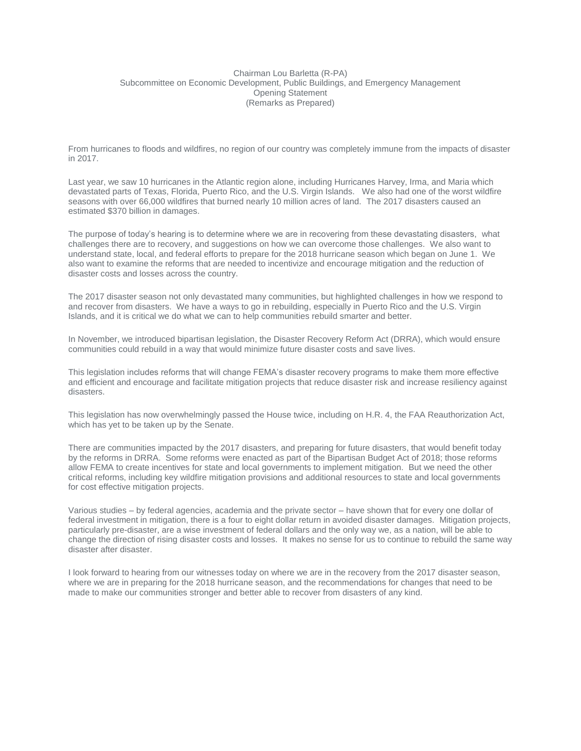#### <span id="page-2-0"></span>Chairman Lou Barletta (R-PA) Subcommittee on Economic Development, Public Buildings, and Emergency Management Opening Statement (Remarks as Prepared)

From hurricanes to floods and wildfires, no region of our country was completely immune from the impacts of disaster in 2017.

Last year, we saw 10 hurricanes in the Atlantic region alone, including Hurricanes Harvey, Irma, and Maria which devastated parts of Texas, Florida, Puerto Rico, and the U.S. Virgin Islands. We also had one of the worst wildfire seasons with over 66,000 wildfires that burned nearly 10 million acres of land. The 2017 disasters caused an estimated \$370 billion in damages.

The purpose of today's hearing is to determine where we are in recovering from these devastating disasters, what challenges there are to recovery, and suggestions on how we can overcome those challenges. We also want to understand state, local, and federal efforts to prepare for the 2018 hurricane season which began on June 1. We also want to examine the reforms that are needed to incentivize and encourage mitigation and the reduction of disaster costs and losses across the country.

The 2017 disaster season not only devastated many communities, but highlighted challenges in how we respond to and recover from disasters. We have a ways to go in rebuilding, especially in Puerto Rico and the U.S. Virgin Islands, and it is critical we do what we can to help communities rebuild smarter and better.

In November, we introduced bipartisan legislation, the Disaster Recovery Reform Act (DRRA), which would ensure communities could rebuild in a way that would minimize future disaster costs and save lives.

This legislation includes reforms that will change FEMA's disaster recovery programs to make them more effective and efficient and encourage and facilitate mitigation projects that reduce disaster risk and increase resiliency against disasters.

This legislation has now overwhelmingly passed the House twice, including on H.R. 4, the FAA Reauthorization Act, which has yet to be taken up by the Senate.

There are communities impacted by the 2017 disasters, and preparing for future disasters, that would benefit today by the reforms in DRRA. Some reforms were enacted as part of the Bipartisan Budget Act of 2018; those reforms allow FEMA to create incentives for state and local governments to implement mitigation. But we need the other critical reforms, including key wildfire mitigation provisions and additional resources to state and local governments for cost effective mitigation projects.

Various studies – by federal agencies, academia and the private sector – have shown that for every one dollar of federal investment in mitigation, there is a four to eight dollar return in avoided disaster damages. Mitigation projects, particularly pre-disaster, are a wise investment of federal dollars and the only way we, as a nation, will be able to change the direction of rising disaster costs and losses. It makes no sense for us to continue to rebuild the same way disaster after disaster.

I look forward to hearing from our witnesses today on where we are in the recovery from the 2017 disaster season, where we are in preparing for the 2018 hurricane season, and the recommendations for changes that need to be made to make our communities stronger and better able to recover from disasters of any kind.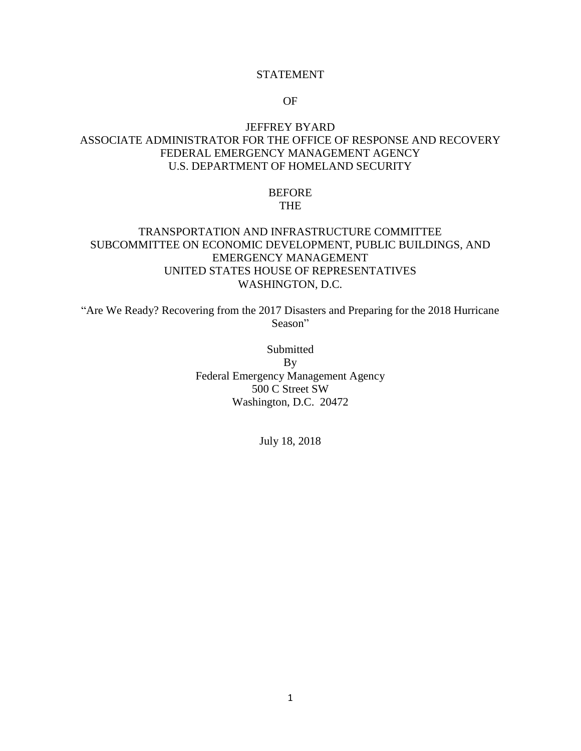#### STATEMENT

#### OF

### <span id="page-3-0"></span>JEFFREY BYARD ASSOCIATE ADMINISTRATOR FOR THE OFFICE OF RESPONSE AND RECOVERY FEDERAL EMERGENCY MANAGEMENT AGENCY U.S. DEPARTMENT OF HOMELAND SECURITY

#### BEFORE THE

### TRANSPORTATION AND INFRASTRUCTURE COMMITTEE SUBCOMMITTEE ON ECONOMIC DEVELOPMENT, PUBLIC BUILDINGS, AND EMERGENCY MANAGEMENT UNITED STATES HOUSE OF REPRESENTATIVES WASHINGTON, D.C.

"Are We Ready? Recovering from the 2017 Disasters and Preparing for the 2018 Hurricane Season"

> Submitted By Federal Emergency Management Agency 500 C Street SW Washington, D.C. 20472

> > July 18, 2018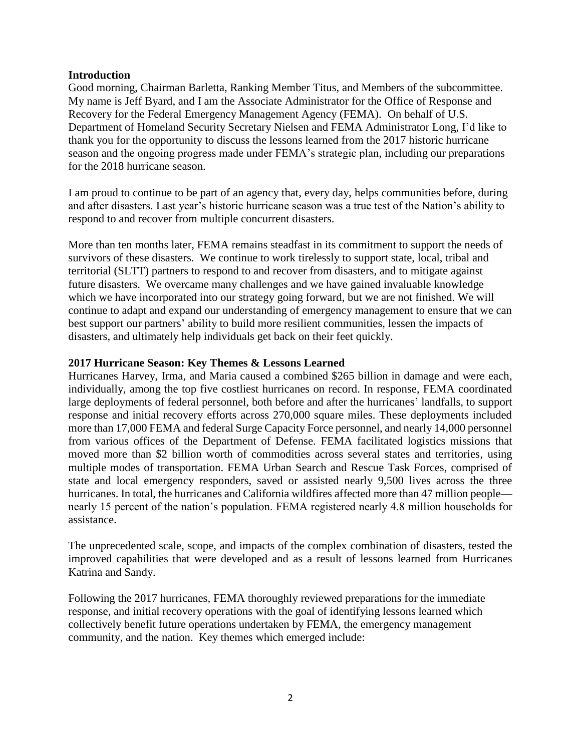#### **Introduction**

Good morning, Chairman Barletta, Ranking Member Titus, and Members of the subcommittee. My name is Jeff Byard, and I am the Associate Administrator for the Office of Response and Recovery for the Federal Emergency Management Agency (FEMA). On behalf of U.S. Department of Homeland Security Secretary Nielsen and FEMA Administrator Long, I'd like to thank you for the opportunity to discuss the lessons learned from the 2017 historic hurricane season and the ongoing progress made under FEMA's strategic plan, including our preparations for the 2018 hurricane season.

I am proud to continue to be part of an agency that, every day, helps communities before, during and after disasters. Last year's historic hurricane season was a true test of the Nation's ability to respond to and recover from multiple concurrent disasters.

More than ten months later, FEMA remains steadfast in its commitment to support the needs of survivors of these disasters. We continue to work tirelessly to support state, local, tribal and territorial (SLTT) partners to respond to and recover from disasters, and to mitigate against future disasters. We overcame many challenges and we have gained invaluable knowledge which we have incorporated into our strategy going forward, but we are not finished. We will continue to adapt and expand our understanding of emergency management to ensure that we can best support our partners' ability to build more resilient communities, lessen the impacts of disasters, and ultimately help individuals get back on their feet quickly.

#### **2017 Hurricane Season: Key Themes & Lessons Learned**

Hurricanes Harvey, Irma, and Maria caused a combined \$265 billion in damage and were each, individually, among the top five costliest hurricanes on record. In response, FEMA coordinated large deployments of federal personnel, both before and after the hurricanes' landfalls, to support response and initial recovery efforts across 270,000 square miles. These deployments included more than 17,000 FEMA and federal Surge Capacity Force personnel, and nearly 14,000 personnel from various offices of the Department of Defense. FEMA facilitated logistics missions that moved more than \$2 billion worth of commodities across several states and territories, using multiple modes of transportation. FEMA Urban Search and Rescue Task Forces, comprised of state and local emergency responders, saved or assisted nearly 9,500 lives across the three hurricanes. In total, the hurricanes and California wildfires affected more than 47 million people nearly 15 percent of the nation's population. FEMA registered nearly 4.8 million households for assistance.

The unprecedented scale, scope, and impacts of the complex combination of disasters, tested the improved capabilities that were developed and as a result of lessons learned from Hurricanes Katrina and Sandy.

Following the 2017 hurricanes, FEMA thoroughly reviewed preparations for the immediate response, and initial recovery operations with the goal of identifying lessons learned which collectively benefit future operations undertaken by FEMA, the emergency management community, and the nation. Key themes which emerged include: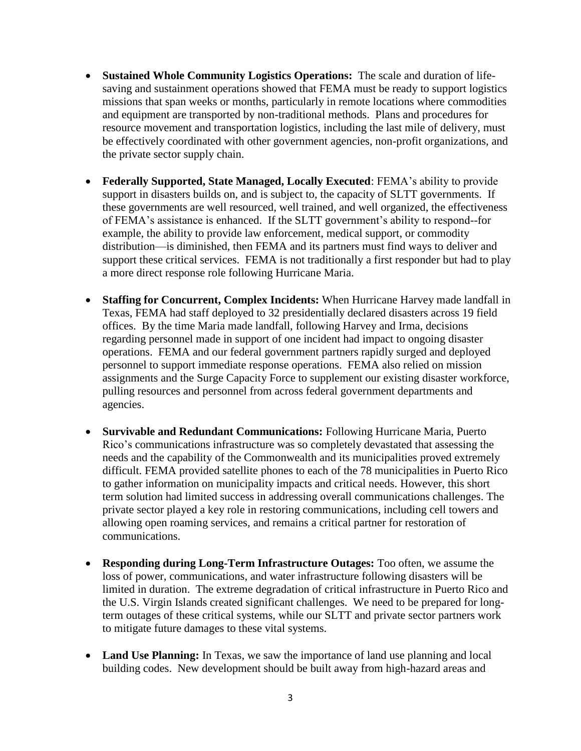- **Sustained Whole Community Logistics Operations:** The scale and duration of lifesaving and sustainment operations showed that FEMA must be ready to support logistics missions that span weeks or months, particularly in remote locations where commodities and equipment are transported by non-traditional methods. Plans and procedures for resource movement and transportation logistics, including the last mile of delivery, must be effectively coordinated with other government agencies, non-profit organizations, and the private sector supply chain.
- **Federally Supported, State Managed, Locally Executed**: FEMA's ability to provide support in disasters builds on, and is subject to, the capacity of SLTT governments. If these governments are well resourced, well trained, and well organized, the effectiveness of FEMA's assistance is enhanced. If the SLTT government's ability to respond--for example, the ability to provide law enforcement, medical support, or commodity distribution—is diminished, then FEMA and its partners must find ways to deliver and support these critical services. FEMA is not traditionally a first responder but had to play a more direct response role following Hurricane Maria.
- **Staffing for Concurrent, Complex Incidents:** When Hurricane Harvey made landfall in Texas, FEMA had staff deployed to 32 presidentially declared disasters across 19 field offices. By the time Maria made landfall, following Harvey and Irma, decisions regarding personnel made in support of one incident had impact to ongoing disaster operations. FEMA and our federal government partners rapidly surged and deployed personnel to support immediate response operations. FEMA also relied on mission assignments and the Surge Capacity Force to supplement our existing disaster workforce, pulling resources and personnel from across federal government departments and agencies.
- **Survivable and Redundant Communications:** Following Hurricane Maria, Puerto Rico's communications infrastructure was so completely devastated that assessing the needs and the capability of the Commonwealth and its municipalities proved extremely difficult. FEMA provided satellite phones to each of the 78 municipalities in Puerto Rico to gather information on municipality impacts and critical needs. However, this short term solution had limited success in addressing overall communications challenges. The private sector played a key role in restoring communications, including cell towers and allowing open roaming services, and remains a critical partner for restoration of communications.
- **Responding during Long-Term Infrastructure Outages:** Too often, we assume the loss of power, communications, and water infrastructure following disasters will be limited in duration. The extreme degradation of critical infrastructure in Puerto Rico and the U.S. Virgin Islands created significant challenges. We need to be prepared for longterm outages of these critical systems, while our SLTT and private sector partners work to mitigate future damages to these vital systems.
- **Land Use Planning:** In Texas, we saw the importance of land use planning and local building codes. New development should be built away from high-hazard areas and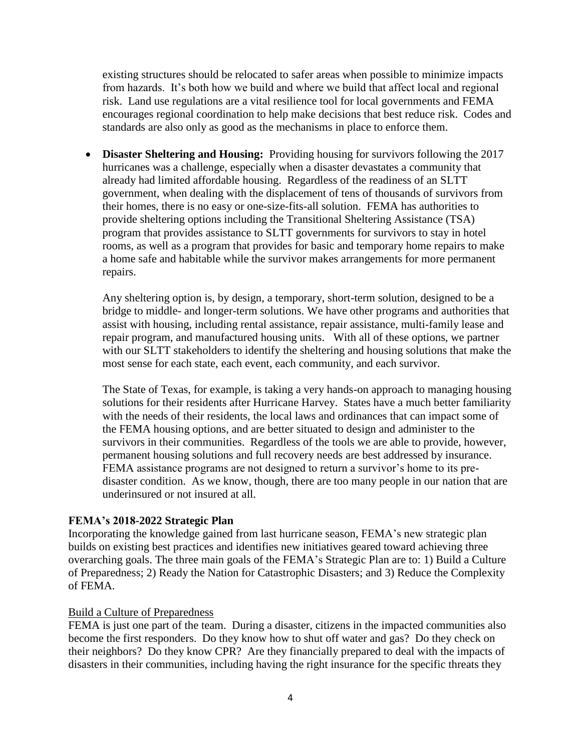existing structures should be relocated to safer areas when possible to minimize impacts from hazards. It's both how we build and where we build that affect local and regional risk. Land use regulations are a vital resilience tool for local governments and FEMA encourages regional coordination to help make decisions that best reduce risk. Codes and standards are also only as good as the mechanisms in place to enforce them.

 **Disaster Sheltering and Housing:** Providing housing for survivors following the 2017 hurricanes was a challenge, especially when a disaster devastates a community that already had limited affordable housing. Regardless of the readiness of an SLTT government, when dealing with the displacement of tens of thousands of survivors from their homes, there is no easy or one-size-fits-all solution. FEMA has authorities to provide sheltering options including the Transitional Sheltering Assistance (TSA) program that provides assistance to SLTT governments for survivors to stay in hotel rooms, as well as a program that provides for basic and temporary home repairs to make a home safe and habitable while the survivor makes arrangements for more permanent repairs.

Any sheltering option is, by design, a temporary, short-term solution, designed to be a bridge to middle- and longer-term solutions. We have other programs and authorities that assist with housing, including rental assistance, repair assistance, multi-family lease and repair program, and manufactured housing units. With all of these options, we partner with our SLTT stakeholders to identify the sheltering and housing solutions that make the most sense for each state, each event, each community, and each survivor.

The State of Texas, for example, is taking a very hands-on approach to managing housing solutions for their residents after Hurricane Harvey. States have a much better familiarity with the needs of their residents, the local laws and ordinances that can impact some of the FEMA housing options, and are better situated to design and administer to the survivors in their communities. Regardless of the tools we are able to provide, however, permanent housing solutions and full recovery needs are best addressed by insurance. FEMA assistance programs are not designed to return a survivor's home to its predisaster condition. As we know, though, there are too many people in our nation that are underinsured or not insured at all.

#### **FEMA's 2018-2022 Strategic Plan**

Incorporating the knowledge gained from last hurricane season, FEMA's new strategic plan builds on existing best practices and identifies new initiatives geared toward achieving three overarching goals. The three main goals of the FEMA's Strategic Plan are to: 1) Build a Culture of Preparedness; 2) Ready the Nation for Catastrophic Disasters; and 3) Reduce the Complexity of FEMA.

#### Build a Culture of Preparedness

FEMA is just one part of the team. During a disaster, citizens in the impacted communities also become the first responders. Do they know how to shut off water and gas? Do they check on their neighbors? Do they know CPR? Are they financially prepared to deal with the impacts of disasters in their communities, including having the right insurance for the specific threats they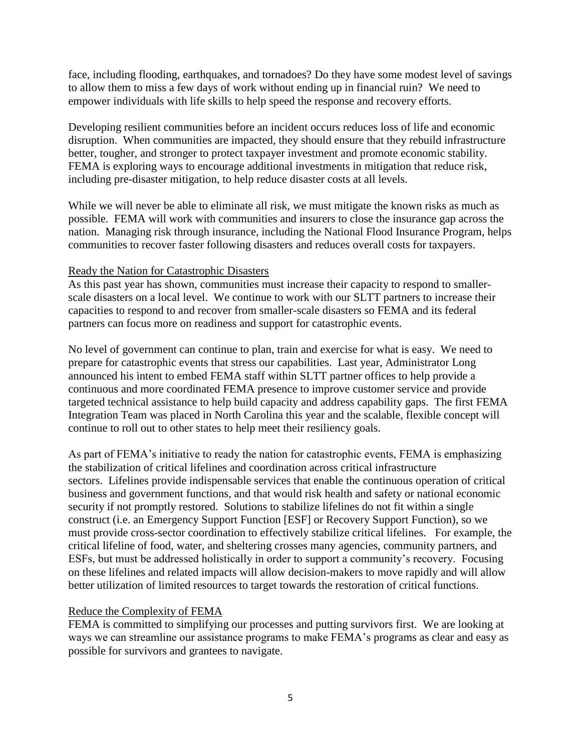face, including flooding, earthquakes, and tornadoes? Do they have some modest level of savings to allow them to miss a few days of work without ending up in financial ruin? We need to empower individuals with life skills to help speed the response and recovery efforts.

Developing resilient communities before an incident occurs reduces loss of life and economic disruption. When communities are impacted, they should ensure that they rebuild infrastructure better, tougher, and stronger to protect taxpayer investment and promote economic stability. FEMA is exploring ways to encourage additional investments in mitigation that reduce risk, including pre-disaster mitigation, to help reduce disaster costs at all levels.

While we will never be able to eliminate all risk, we must mitigate the known risks as much as possible. FEMA will work with communities and insurers to close the insurance gap across the nation. Managing risk through insurance, including the National Flood Insurance Program, helps communities to recover faster following disasters and reduces overall costs for taxpayers.

#### Ready the Nation for Catastrophic Disasters

As this past year has shown, communities must increase their capacity to respond to smallerscale disasters on a local level. We continue to work with our SLTT partners to increase their capacities to respond to and recover from smaller-scale disasters so FEMA and its federal partners can focus more on readiness and support for catastrophic events.

No level of government can continue to plan, train and exercise for what is easy. We need to prepare for catastrophic events that stress our capabilities. Last year, Administrator Long announced his intent to embed FEMA staff within SLTT partner offices to help provide a continuous and more coordinated FEMA presence to improve customer service and provide targeted technical assistance to help build capacity and address capability gaps. The first FEMA Integration Team was placed in North Carolina this year and the scalable, flexible concept will continue to roll out to other states to help meet their resiliency goals.

As part of FEMA's initiative to ready the nation for catastrophic events, FEMA is emphasizing the stabilization of critical lifelines and coordination across critical infrastructure sectors. Lifelines provide indispensable services that enable the continuous operation of critical business and government functions, and that would risk health and safety or national economic security if not promptly restored. Solutions to stabilize lifelines do not fit within a single construct (i.e. an Emergency Support Function [ESF] or Recovery Support Function), so we must provide cross-sector coordination to effectively stabilize critical lifelines. For example, the critical lifeline of food, water, and sheltering crosses many agencies, community partners, and ESFs, but must be addressed holistically in order to support a community's recovery. Focusing on these lifelines and related impacts will allow decision-makers to move rapidly and will allow better utilization of limited resources to target towards the restoration of critical functions.

### Reduce the Complexity of FEMA

FEMA is committed to simplifying our processes and putting survivors first. We are looking at ways we can streamline our assistance programs to make FEMA's programs as clear and easy as possible for survivors and grantees to navigate.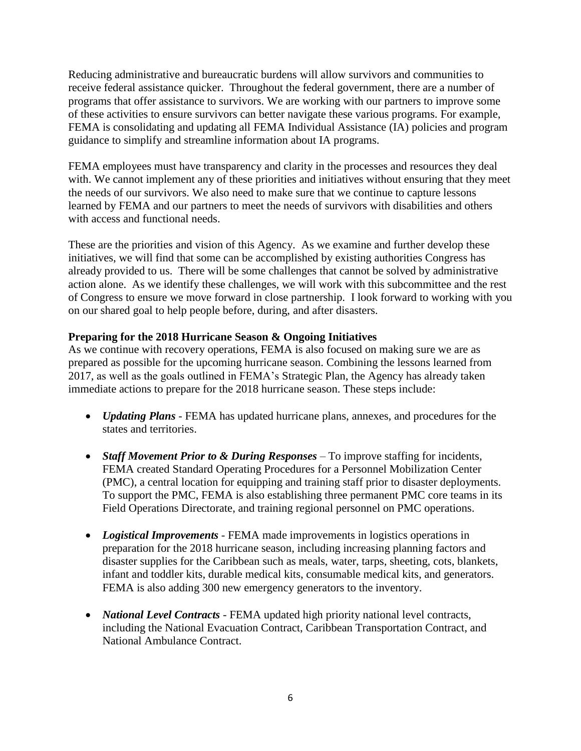Reducing administrative and bureaucratic burdens will allow survivors and communities to receive federal assistance quicker. Throughout the federal government, there are a number of programs that offer assistance to survivors. We are working with our partners to improve some of these activities to ensure survivors can better navigate these various programs. For example, FEMA is consolidating and updating all FEMA Individual Assistance (IA) policies and program guidance to simplify and streamline information about IA programs.

FEMA employees must have transparency and clarity in the processes and resources they deal with. We cannot implement any of these priorities and initiatives without ensuring that they meet the needs of our survivors. We also need to make sure that we continue to capture lessons learned by FEMA and our partners to meet the needs of survivors with disabilities and others with access and functional needs.

These are the priorities and vision of this Agency. As we examine and further develop these initiatives, we will find that some can be accomplished by existing authorities Congress has already provided to us. There will be some challenges that cannot be solved by administrative action alone. As we identify these challenges, we will work with this subcommittee and the rest of Congress to ensure we move forward in close partnership. I look forward to working with you on our shared goal to help people before, during, and after disasters.

### **Preparing for the 2018 Hurricane Season & Ongoing Initiatives**

As we continue with recovery operations, FEMA is also focused on making sure we are as prepared as possible for the upcoming hurricane season. Combining the lessons learned from 2017, as well as the goals outlined in FEMA's Strategic Plan, the Agency has already taken immediate actions to prepare for the 2018 hurricane season. These steps include:

- *Updating Plans* FEMA has updated hurricane plans, annexes, and procedures for the states and territories.
- *Staff Movement Prior to & During Responses* To improve staffing for incidents, FEMA created Standard Operating Procedures for a Personnel Mobilization Center (PMC), a central location for equipping and training staff prior to disaster deployments. To support the PMC, FEMA is also establishing three permanent PMC core teams in its Field Operations Directorate, and training regional personnel on PMC operations.
- *Logistical Improvements* FEMA made improvements in logistics operations in preparation for the 2018 hurricane season, including increasing planning factors and disaster supplies for the Caribbean such as meals, water, tarps, sheeting, cots, blankets, infant and toddler kits, durable medical kits, consumable medical kits, and generators. FEMA is also adding 300 new emergency generators to the inventory.
- *National Level Contracts* FEMA updated high priority national level contracts, including the National Evacuation Contract, Caribbean Transportation Contract, and National Ambulance Contract.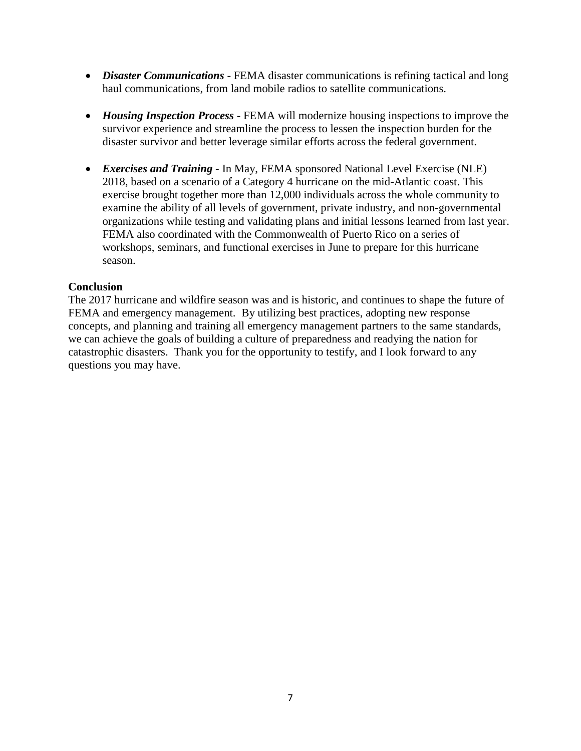- *Disaster Communications* FEMA disaster communications is refining tactical and long haul communications, from land mobile radios to satellite communications.
- *Housing Inspection Process* FEMA will modernize housing inspections to improve the survivor experience and streamline the process to lessen the inspection burden for the disaster survivor and better leverage similar efforts across the federal government.
- *Exercises and Training* In May, FEMA sponsored National Level Exercise (NLE) 2018, based on a scenario of a Category 4 hurricane on the mid-Atlantic coast. This exercise brought together more than 12,000 individuals across the whole community to examine the ability of all levels of government, private industry, and non-governmental organizations while testing and validating plans and initial lessons learned from last year. FEMA also coordinated with the Commonwealth of Puerto Rico on a series of workshops, seminars, and functional exercises in June to prepare for this hurricane season.

### **Conclusion**

The 2017 hurricane and wildfire season was and is historic, and continues to shape the future of FEMA and emergency management. By utilizing best practices, adopting new response concepts, and planning and training all emergency management partners to the same standards, we can achieve the goals of building a culture of preparedness and readying the nation for catastrophic disasters. Thank you for the opportunity to testify, and I look forward to any questions you may have.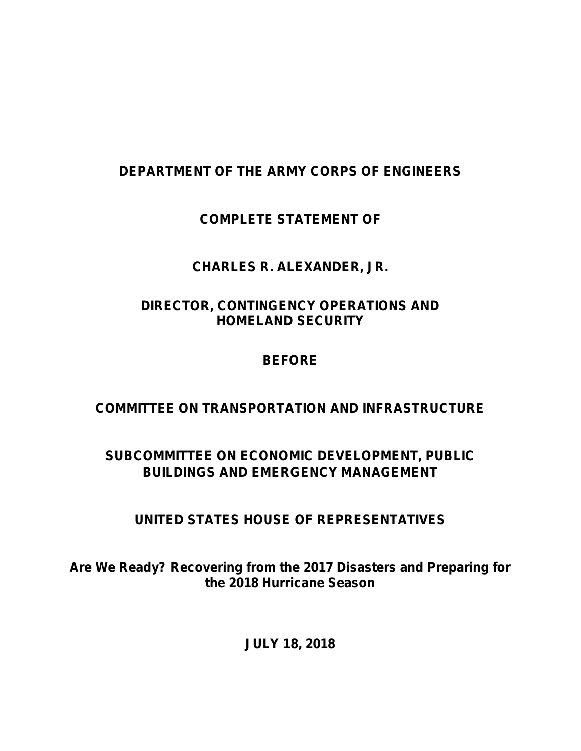# <span id="page-10-0"></span>**DEPARTMENT OF THE ARMY CORPS OF ENGINEERS**

# **COMPLETE STATEMENT OF**

## **CHARLES R. ALEXANDER, JR.**

## **DIRECTOR, CONTINGENCY OPERATIONS AND HOMELAND SECURITY**

## **BEFORE**

## **COMMITTEE ON TRANSPORTATION AND INFRASTRUCTURE**

## **SUBCOMMITTEE ON ECONOMIC DEVELOPMENT, PUBLIC BUILDINGS AND EMERGENCY MANAGEMENT**

## **UNITED STATES HOUSE OF REPRESENTATIVES**

**Are We Ready? Recovering from the 2017 Disasters and Preparing for the 2018 Hurricane Season**

**JULY 18, 2018**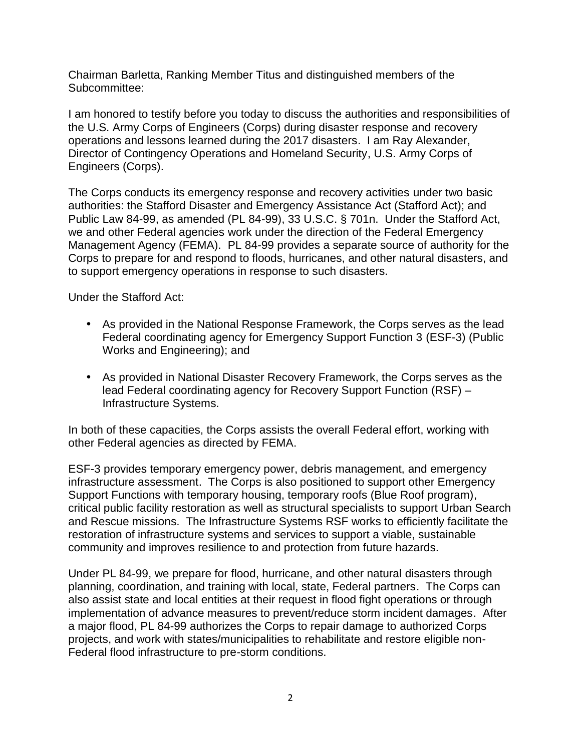Chairman Barletta, Ranking Member Titus and distinguished members of the Subcommittee:

I am honored to testify before you today to discuss the authorities and responsibilities of the U.S. Army Corps of Engineers (Corps) during disaster response and recovery operations and lessons learned during the 2017 disasters. I am Ray Alexander, Director of Contingency Operations and Homeland Security, U.S. Army Corps of Engineers (Corps).

The Corps conducts its emergency response and recovery activities under two basic authorities: the Stafford Disaster and Emergency Assistance Act (Stafford Act); and Public Law 84-99, as amended (PL 84-99), 33 U.S.C. § 701n. Under the Stafford Act, we and other Federal agencies work under the direction of the Federal Emergency Management Agency (FEMA). PL 84-99 provides a separate source of authority for the Corps to prepare for and respond to floods, hurricanes, and other natural disasters, and to support emergency operations in response to such disasters.

Under the Stafford Act:

- As provided in the National Response Framework, the Corps serves as the lead Federal coordinating agency for Emergency Support Function 3 (ESF-3) (Public Works and Engineering); and
- As provided in National Disaster Recovery Framework, the Corps serves as the lead Federal coordinating agency for Recovery Support Function (RSF) – Infrastructure Systems.

In both of these capacities, the Corps assists the overall Federal effort, working with other Federal agencies as directed by FEMA.

ESF-3 provides temporary emergency power, debris management, and emergency infrastructure assessment. The Corps is also positioned to support other Emergency Support Functions with temporary housing, temporary roofs (Blue Roof program), critical public facility restoration as well as structural specialists to support Urban Search and Rescue missions. The Infrastructure Systems RSF works to efficiently facilitate the restoration of infrastructure systems and services to support a viable, sustainable community and improves resilience to and protection from future hazards.

Under PL 84-99, we prepare for flood, hurricane, and other natural disasters through planning, coordination, and training with local, state, Federal partners. The Corps can also assist state and local entities at their request in flood fight operations or through implementation of advance measures to prevent/reduce storm incident damages. After a major flood, PL 84-99 authorizes the Corps to repair damage to authorized Corps projects, and work with states/municipalities to rehabilitate and restore eligible non- Federal flood infrastructure to pre-storm conditions.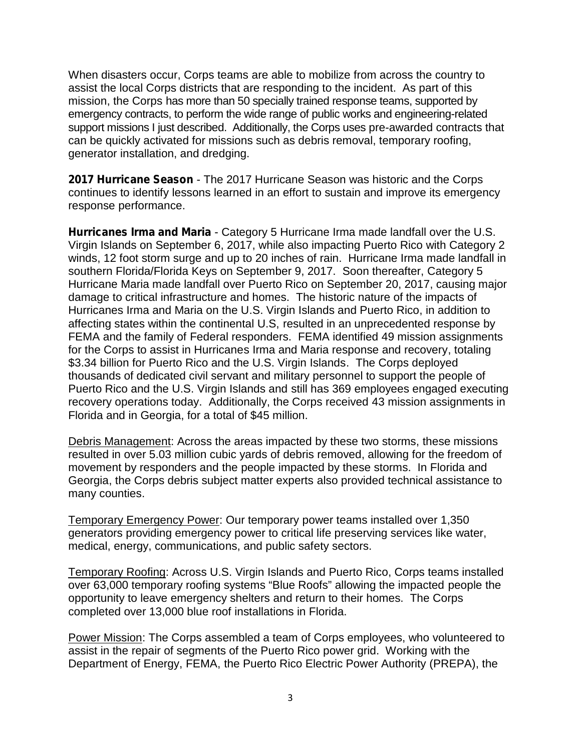When disasters occur, Corps teams are able to mobilize from across the country to assist the local Corps districts that are responding to the incident. As part of this mission, the Corps has more than 50 specially trained response teams, supported by emergency contracts, to perform the wide range of public works and engineering-related support missions I just described. Additionally, the Corps uses pre-awarded contracts that can be quickly activated for missions such as debris removal, temporary roofing, generator installation, and dredging.

**2017 Hurricane Season** - The 2017 Hurricane Season was historic and the Corps continues to identify lessons learned in an effort to sustain and improve its emergency response performance.

**Hurricanes Irma and Maria** - Category 5 Hurricane Irma made landfall over the U.S. Virgin Islands on September 6, 2017, while also impacting Puerto Rico with Category 2 winds, 12 foot storm surge and up to 20 inches of rain. Hurricane Irma made landfall in southern Florida/Florida Keys on September 9, 2017. Soon thereafter, Category 5 Hurricane Maria made landfall over Puerto Rico on September 20, 2017, causing major damage to critical infrastructure and homes. The historic nature of the impacts of Hurricanes Irma and Maria on the U.S. Virgin Islands and Puerto Rico, in addition to affecting states within the continental U.S, resulted in an unprecedented response by FEMA and the family of Federal responders. FEMA identified 49 mission assignments for the Corps to assist in Hurricanes Irma and Maria response and recovery, totaling \$3.34 billion for Puerto Rico and the U.S. Virgin Islands. The Corps deployed thousands of dedicated civil servant and military personnel to support the people of Puerto Rico and the U.S. Virgin Islands and still has 369 employees engaged executing recovery operations today. Additionally, the Corps received 43 mission assignments in Florida and in Georgia, for a total of \$45 million.

Debris Management: Across the areas impacted by these two storms, these missions resulted in over 5.03 million cubic yards of debris removed, allowing for the freedom of movement by responders and the people impacted by these storms. In Florida and Georgia, the Corps debris subject matter experts also provided technical assistance to many counties.

Temporary Emergency Power: Our temporary power teams installed over 1,350 generators providing emergency power to critical life preserving services like water, medical, energy, communications, and public safety sectors.

Temporary Roofing: Across U.S. Virgin Islands and Puerto Rico, Corps teams installed over 63,000 temporary roofing systems "Blue Roofs" allowing the impacted people the opportunity to leave emergency shelters and return to their homes. The Corps completed over 13,000 blue roof installations in Florida.

Power Mission: The Corps assembled a team of Corps employees, who volunteered to assist in the repair of segments of the Puerto Rico power grid. Working with the Department of Energy, FEMA, the Puerto Rico Electric Power Authority (PREPA), the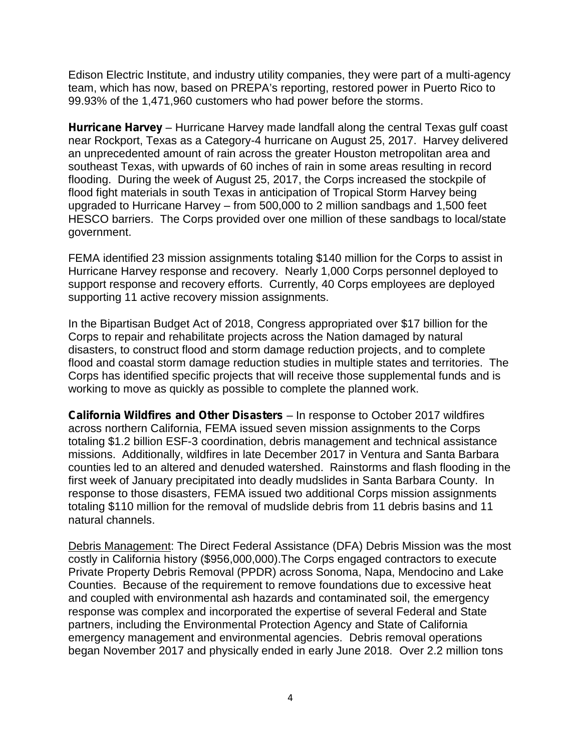Edison Electric Institute, and industry utility companies, they were part of a multi-agency team, which has now, based on PREPA's reporting, restored power in Puerto Rico to 99.93% of the 1,471,960 customers who had power before the storms.

**Hurricane Harvey** – Hurricane Harvey made landfall along the central Texas gulf coast near Rockport, Texas as a Category-4 hurricane on August 25, 2017. Harvey delivered an unprecedented amount of rain across the greater Houston metropolitan area and southeast Texas, with upwards of 60 inches of rain in some areas resulting in record flooding. During the week of August 25, 2017, the Corps increased the stockpile of flood fight materials in south Texas in anticipation of Tropical Storm Harvey being upgraded to Hurricane Harvey – from 500,000 to 2 million sandbags and 1,500 feet HESCO barriers. The Corps provided over one million of these sandbags to local/state government.

FEMA identified 23 mission assignments totaling \$140 million for the Corps to assist in Hurricane Harvey response and recovery. Nearly 1,000 Corps personnel deployed to support response and recovery efforts. Currently, 40 Corps employees are deployed supporting 11 active recovery mission assignments.

In the Bipartisan Budget Act of 2018, Congress appropriated over \$17 billion for the Corps to repair and rehabilitate projects across the Nation damaged by natural disasters, to construct flood and storm damage reduction projects, and to complete flood and coastal storm damage reduction studies in multiple states and territories. The Corps has identified specific projects that will receive those supplemental funds and is working to move as quickly as possible to complete the planned work.

**California Wildfires and Other Disasters** – In response to October 2017 wildfires across northern California, FEMA issued seven mission assignments to the Corps totaling \$1.2 billion ESF-3 coordination, debris management and technical assistance missions. Additionally, wildfires in late December 2017 in Ventura and Santa Barbara counties led to an altered and denuded watershed. Rainstorms and flash flooding in the first week of January precipitated into deadly mudslides in Santa Barbara County. In response to those disasters, FEMA issued two additional Corps mission assignments totaling \$110 million for the removal of mudslide debris from 11 debris basins and 11 natural channels.

Debris Management: The Direct Federal Assistance (DFA) Debris Mission was the most costly in California history (\$956,000,000).The Corps engaged contractors to execute Private Property Debris Removal (PPDR) across Sonoma, Napa, Mendocino and Lake Counties. Because of the requirement to remove foundations due to excessive heat and coupled with environmental ash hazards and contaminated soil, the emergency response was complex and incorporated the expertise of several Federal and State partners, including the Environmental Protection Agency and State of California emergency management and environmental agencies. Debris removal operations began November 2017 and physically ended in early June 2018. Over 2.2 million tons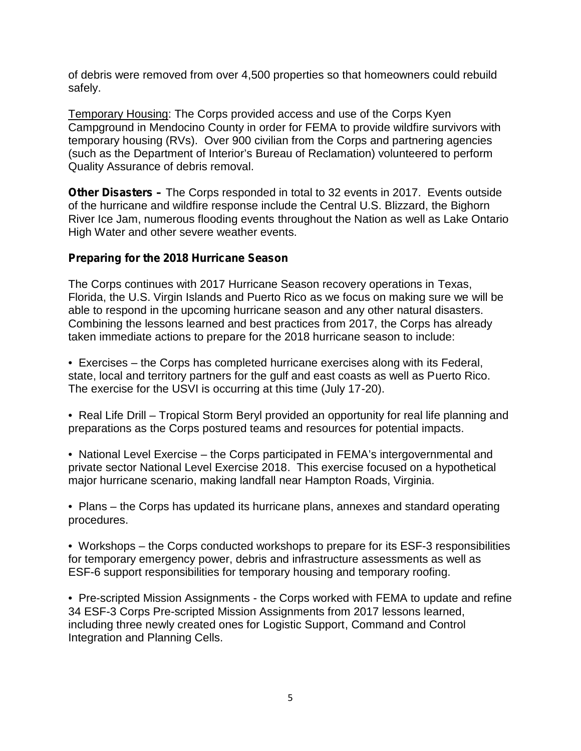of debris were removed from over 4,500 properties so that homeowners could rebuild safely.

Temporary Housing: The Corps provided access and use of the Corps Kyen Campground in Mendocino County in order for FEMA to provide wildfire survivors with temporary housing (RVs). Over 900 civilian from the Corps and partnering agencies (such as the Department of Interior's Bureau of Reclamation) volunteered to perform Quality Assurance of debris removal.

**Other Disasters –** The Corps responded in total to 32 events in 2017. Events outside of the hurricane and wildfire response include the Central U.S. Blizzard, the Bighorn River Ice Jam, numerous flooding events throughout the Nation as well as Lake Ontario High Water and other severe weather events.

### **Preparing for the 2018 Hurricane Season**

The Corps continues with 2017 Hurricane Season recovery operations in Texas, Florida, the U.S. Virgin Islands and Puerto Rico as we focus on making sure we will be able to respond in the upcoming hurricane season and any other natural disasters. Combining the lessons learned and best practices from 2017, the Corps has already taken immediate actions to prepare for the 2018 hurricane season to include:

• Exercises – the Corps has completed hurricane exercises along with its Federal, state, local and territory partners for the gulf and east coasts as well as Puerto Rico. The exercise for the USVI is occurring at this time (July 17-20).

• Real Life Drill – Tropical Storm Beryl provided an opportunity for real life planning and preparations as the Corps postured teams and resources for potential impacts.

• National Level Exercise – the Corps participated in FEMA's intergovernmental and private sector National Level Exercise 2018. This exercise focused on a hypothetical major hurricane scenario, making landfall near Hampton Roads, Virginia.

• Plans – the Corps has updated its hurricane plans, annexes and standard operating procedures.

• Workshops – the Corps conducted workshops to prepare for its ESF-3 responsibilities for temporary emergency power, debris and infrastructure assessments as well as ESF-6 support responsibilities for temporary housing and temporary roofing.

• Pre-scripted Mission Assignments - the Corps worked with FEMA to update and refine 34 ESF-3 Corps Pre-scripted Mission Assignments from 2017 lessons learned, including three newly created ones for Logistic Support, Command and Control Integration and Planning Cells.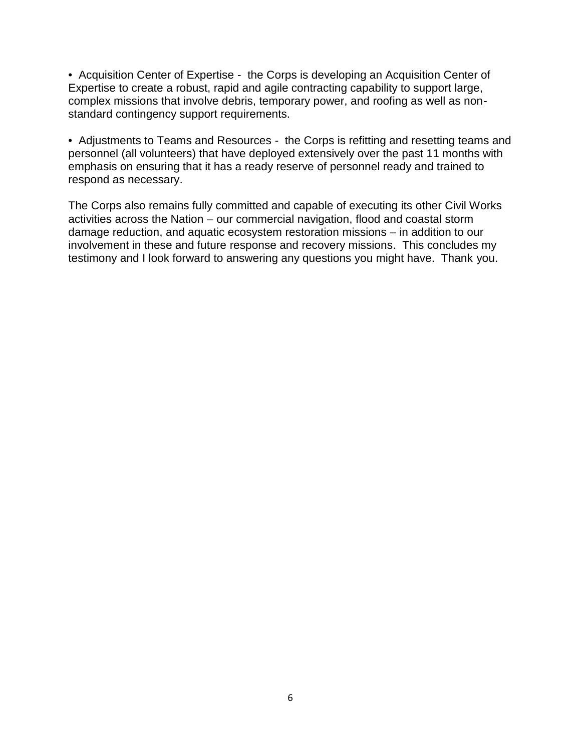• Acquisition Center of Expertise - the Corps is developing an Acquisition Center of Expertise to create a robust, rapid and agile contracting capability to support large, complex missions that involve debris, temporary power, and roofing as well as non standard contingency support requirements.

• Adjustments to Teams and Resources - the Corps is refitting and resetting teams and personnel (all volunteers) that have deployed extensively over the past 11 months with emphasis on ensuring that it has a ready reserve of personnel ready and trained to respond as necessary.

The Corps also remains fully committed and capable of executing its other Civil Works activities across the Nation – our commercial navigation, flood and coastal storm damage reduction, and aquatic ecosystem restoration missions – in addition to our involvement in these and future response and recovery missions. This concludes my testimony and I look forward to answering any questions you might have. Thank you.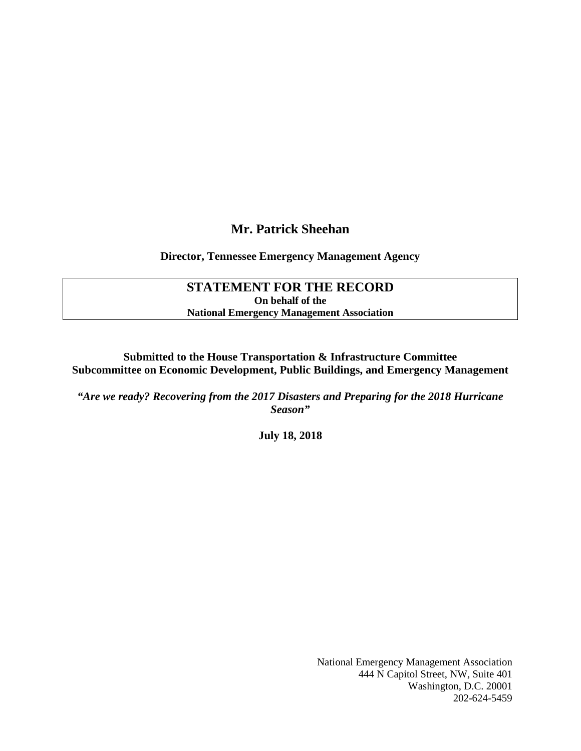### **Mr. Patrick Sheehan**

### <span id="page-16-0"></span>**Director, Tennessee Emergency Management Agency**

### **STATEMENT FOR THE RECORD On behalf of the National Emergency Management Association**

**Submitted to the House Transportation & Infrastructure Committee Subcommittee on Economic Development, Public Buildings, and Emergency Management** 

*"Are we ready? Recovering from the 2017 Disasters and Preparing for the 2018 Hurricane Season"*

**July 18, 2018**

National Emergency Management Association 444 N Capitol Street, NW, Suite 401 Washington, D.C. 20001 202-624-5459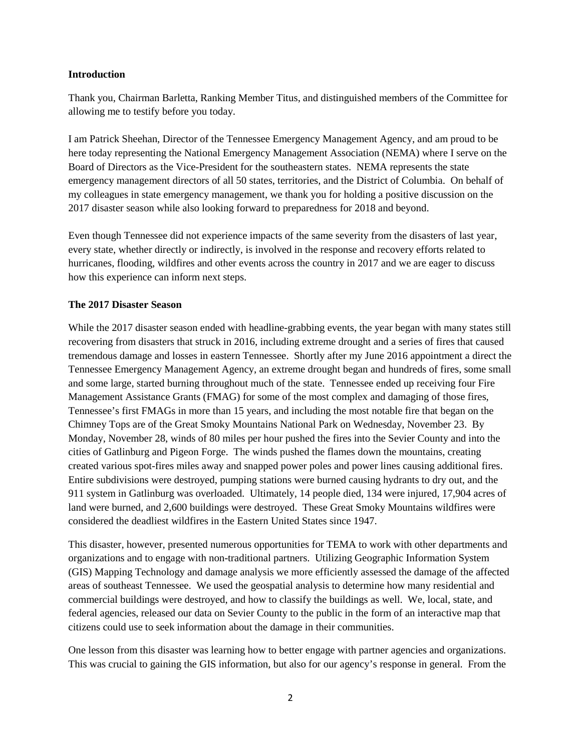#### **Introduction**

Thank you, Chairman Barletta, Ranking Member Titus, and distinguished members of the Committee for allowing me to testify before you today.

I am Patrick Sheehan, Director of the Tennessee Emergency Management Agency, and am proud to be here today representing the National Emergency Management Association (NEMA) where I serve on the Board of Directors as the Vice-President for the southeastern states. NEMA represents the state emergency management directors of all 50 states, territories, and the District of Columbia. On behalf of my colleagues in state emergency management, we thank you for holding a positive discussion on the 2017 disaster season while also looking forward to preparedness for 2018 and beyond.

Even though Tennessee did not experience impacts of the same severity from the disasters of last year, every state, whether directly or indirectly, is involved in the response and recovery efforts related to hurricanes, flooding, wildfires and other events across the country in 2017 and we are eager to discuss how this experience can inform next steps.

#### **The 2017 Disaster Season**

While the 2017 disaster season ended with headline-grabbing events, the year began with many states still recovering from disasters that struck in 2016, including extreme drought and a series of fires that caused tremendous damage and losses in eastern Tennessee. Shortly after my June 2016 appointment a direct the Tennessee Emergency Management Agency, an extreme drought began and hundreds of fires, some small and some large, started burning throughout much of the state. Tennessee ended up receiving four Fire Management Assistance Grants (FMAG) for some of the most complex and damaging of those fires, Tennessee's first FMAGs in more than 15 years, and including the most notable fire that began on the Chimney Tops are of the Great Smoky Mountains National Park on Wednesday, November 23. By Monday, November 28, winds of 80 miles per hour pushed the fires into the Sevier County and into the cities of Gatlinburg and Pigeon Forge. The winds pushed the flames down the mountains, creating created various spot-fires miles away and snapped power poles and power lines causing additional fires. Entire subdivisions were destroyed, pumping stations were burned causing hydrants to dry out, and the 911 system in Gatlinburg was overloaded. Ultimately, 14 people died, 134 were injured, 17,904 acres of land were burned, and 2,600 buildings were destroyed. These Great Smoky Mountains wildfires were considered the deadliest wildfires in the Eastern United States since 1947.

This disaster, however, presented numerous opportunities for TEMA to work with other departments and organizations and to engage with non-traditional partners. Utilizing Geographic Information System (GIS) Mapping Technology and damage analysis we more efficiently assessed the damage of the affected areas of southeast Tennessee. We used the geospatial analysis to determine how many residential and commercial buildings were destroyed, and how to classify the buildings as well. We, local, state, and federal agencies, released our data on Sevier County to the public in the form of an interactive map that citizens could use to seek information about the damage in their communities.

One lesson from this disaster was learning how to better engage with partner agencies and organizations. This was crucial to gaining the GIS information, but also for our agency's response in general. From the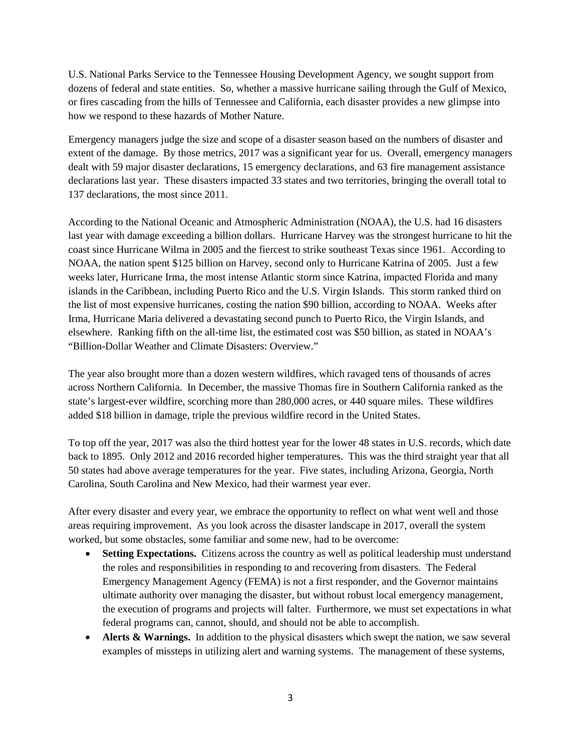U.S. National Parks Service to the Tennessee Housing Development Agency, we sought support from dozens of federal and state entities. So, whether a massive hurricane sailing through the Gulf of Mexico, or fires cascading from the hills of Tennessee and California, each disaster provides a new glimpse into how we respond to these hazards of Mother Nature.

Emergency managers judge the size and scope of a disaster season based on the numbers of disaster and extent of the damage. By those metrics, 2017 was a significant year for us. Overall, emergency managers dealt with 59 major disaster declarations, 15 emergency declarations, and 63 fire management assistance declarations last year. These disasters impacted 33 states and two territories, bringing the overall total to 137 declarations, the most since 2011.

According to the National Oceanic and Atmospheric Administration (NOAA), the U.S. had 16 disasters last year with damage exceeding a billion dollars. Hurricane Harvey was the strongest hurricane to hit the coast since Hurricane Wilma in 2005 and the fiercest to strike southeast Texas since 1961. According to NOAA, the nation spent \$125 billion on Harvey, second only to Hurricane Katrina of 2005. Just a few weeks later, Hurricane Irma, the most intense Atlantic storm since Katrina, impacted Florida and many islands in the Caribbean, including Puerto Rico and the U.S. Virgin Islands. This storm ranked third on the list of most expensive hurricanes, costing the nation \$90 billion, according to NOAA. Weeks after Irma, Hurricane Maria delivered a devastating second punch to Puerto Rico, the Virgin Islands, and elsewhere. Ranking fifth on the all-time list, the estimated cost was \$50 billion, as stated in NOAA's "Billion-Dollar Weather and Climate Disasters: Overview."

The year also brought more than a dozen western wildfires, which ravaged tens of thousands of acres across Northern California. In December, the massive Thomas fire in Southern California ranked as the state's largest-ever wildfire, scorching more than 280,000 acres, or 440 square miles. These wildfires added \$18 billion in damage, triple the previous wildfire record in the United States.

To top off the year, 2017 was also the third hottest year for the lower 48 states in U.S. records, which date back to 1895. Only 2012 and 2016 recorded higher temperatures. This was the third straight year that all 50 states had above average temperatures for the year. Five states, including Arizona, Georgia, North Carolina, South Carolina and New Mexico, had their warmest year ever.

After every disaster and every year, we embrace the opportunity to reflect on what went well and those areas requiring improvement. As you look across the disaster landscape in 2017, overall the system worked, but some obstacles, some familiar and some new, had to be overcome:

- **Setting Expectations.** Citizens across the country as well as political leadership must understand the roles and responsibilities in responding to and recovering from disasters. The Federal Emergency Management Agency (FEMA) is not a first responder, and the Governor maintains ultimate authority over managing the disaster, but without robust local emergency management, the execution of programs and projects will falter. Furthermore, we must set expectations in what federal programs can, cannot, should, and should not be able to accomplish.
- **Alerts & Warnings.** In addition to the physical disasters which swept the nation, we saw several examples of missteps in utilizing alert and warning systems. The management of these systems,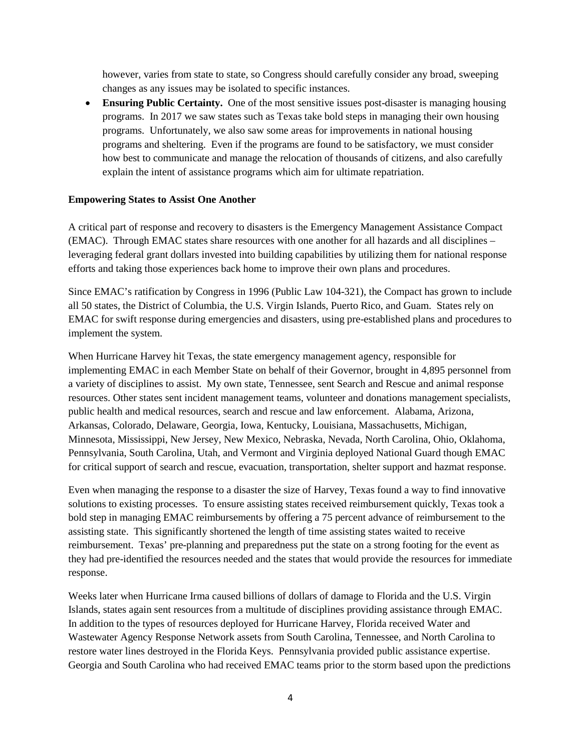however, varies from state to state, so Congress should carefully consider any broad, sweeping changes as any issues may be isolated to specific instances.

• **Ensuring Public Certainty.** One of the most sensitive issues post-disaster is managing housing programs. In 2017 we saw states such as Texas take bold steps in managing their own housing programs. Unfortunately, we also saw some areas for improvements in national housing programs and sheltering. Even if the programs are found to be satisfactory, we must consider how best to communicate and manage the relocation of thousands of citizens, and also carefully explain the intent of assistance programs which aim for ultimate repatriation.

#### **Empowering States to Assist One Another**

A critical part of response and recovery to disasters is the Emergency Management Assistance Compact (EMAC). Through EMAC states share resources with one another for all hazards and all disciplines – leveraging federal grant dollars invested into building capabilities by utilizing them for national response efforts and taking those experiences back home to improve their own plans and procedures.

Since EMAC's ratification by Congress in 1996 (Public Law 104-321), the Compact has grown to include all 50 states, the District of Columbia, the U.S. Virgin Islands, Puerto Rico, and Guam. States rely on EMAC for swift response during emergencies and disasters, using pre-established plans and procedures to implement the system.

When Hurricane Harvey hit Texas, the state emergency management agency, responsible for implementing EMAC in each Member State on behalf of their Governor, brought in 4,895 personnel from a variety of disciplines to assist. My own state, Tennessee, sent Search and Rescue and animal response resources. Other states sent incident management teams, volunteer and donations management specialists, public health and medical resources, search and rescue and law enforcement. Alabama, Arizona, Arkansas, Colorado, Delaware, Georgia, Iowa, Kentucky, Louisiana, Massachusetts, Michigan, Minnesota, Mississippi, New Jersey, New Mexico, Nebraska, Nevada, North Carolina, Ohio, Oklahoma, Pennsylvania, South Carolina, Utah, and Vermont and Virginia deployed National Guard though EMAC for critical support of search and rescue, evacuation, transportation, shelter support and hazmat response.

Even when managing the response to a disaster the size of Harvey, Texas found a way to find innovative solutions to existing processes. To ensure assisting states received reimbursement quickly, Texas took a bold step in managing EMAC reimbursements by offering a 75 percent advance of reimbursement to the assisting state. This significantly shortened the length of time assisting states waited to receive reimbursement. Texas' pre-planning and preparedness put the state on a strong footing for the event as they had pre-identified the resources needed and the states that would provide the resources for immediate response.

Weeks later when Hurricane Irma caused billions of dollars of damage to Florida and the U.S. Virgin Islands, states again sent resources from a multitude of disciplines providing assistance through EMAC. In addition to the types of resources deployed for Hurricane Harvey, Florida received Water and Wastewater Agency Response Network assets from South Carolina, Tennessee, and North Carolina to restore water lines destroyed in the Florida Keys. Pennsylvania provided public assistance expertise. Georgia and South Carolina who had received EMAC teams prior to the storm based upon the predictions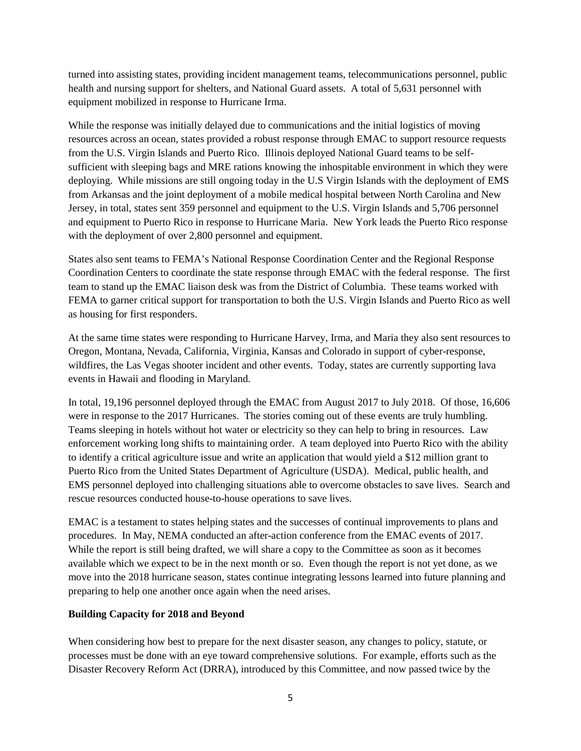turned into assisting states, providing incident management teams, telecommunications personnel, public health and nursing support for shelters, and National Guard assets. A total of 5,631 personnel with equipment mobilized in response to Hurricane Irma.

While the response was initially delayed due to communications and the initial logistics of moving resources across an ocean, states provided a robust response through EMAC to support resource requests from the U.S. Virgin Islands and Puerto Rico. Illinois deployed National Guard teams to be selfsufficient with sleeping bags and MRE rations knowing the inhospitable environment in which they were deploying. While missions are still ongoing today in the U.S Virgin Islands with the deployment of EMS from Arkansas and the joint deployment of a mobile medical hospital between North Carolina and New Jersey, in total, states sent 359 personnel and equipment to the U.S. Virgin Islands and 5,706 personnel and equipment to Puerto Rico in response to Hurricane Maria. New York leads the Puerto Rico response with the deployment of over 2,800 personnel and equipment.

States also sent teams to FEMA's National Response Coordination Center and the Regional Response Coordination Centers to coordinate the state response through EMAC with the federal response. The first team to stand up the EMAC liaison desk was from the District of Columbia. These teams worked with FEMA to garner critical support for transportation to both the U.S. Virgin Islands and Puerto Rico as well as housing for first responders.

At the same time states were responding to Hurricane Harvey, Irma, and Maria they also sent resources to Oregon, Montana, Nevada, California, Virginia, Kansas and Colorado in support of cyber-response, wildfires, the Las Vegas shooter incident and other events. Today, states are currently supporting lava events in Hawaii and flooding in Maryland.

In total, 19,196 personnel deployed through the EMAC from August 2017 to July 2018. Of those, 16,606 were in response to the 2017 Hurricanes. The stories coming out of these events are truly humbling. Teams sleeping in hotels without hot water or electricity so they can help to bring in resources. Law enforcement working long shifts to maintaining order. A team deployed into Puerto Rico with the ability to identify a critical agriculture issue and write an application that would yield a \$12 million grant to Puerto Rico from the United States Department of Agriculture (USDA). Medical, public health, and EMS personnel deployed into challenging situations able to overcome obstacles to save lives. Search and rescue resources conducted house-to-house operations to save lives.

EMAC is a testament to states helping states and the successes of continual improvements to plans and procedures. In May, NEMA conducted an after-action conference from the EMAC events of 2017. While the report is still being drafted, we will share a copy to the Committee as soon as it becomes available which we expect to be in the next month or so. Even though the report is not yet done, as we move into the 2018 hurricane season, states continue integrating lessons learned into future planning and preparing to help one another once again when the need arises.

#### **Building Capacity for 2018 and Beyond**

When considering how best to prepare for the next disaster season, any changes to policy, statute, or processes must be done with an eye toward comprehensive solutions. For example, efforts such as the Disaster Recovery Reform Act (DRRA), introduced by this Committee, and now passed twice by the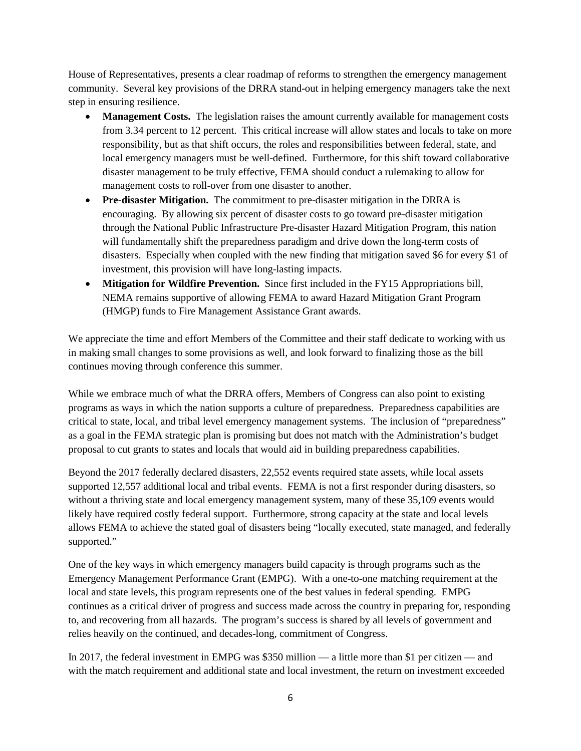House of Representatives, presents a clear roadmap of reforms to strengthen the emergency management community. Several key provisions of the DRRA stand-out in helping emergency managers take the next step in ensuring resilience.

- **Management Costs.** The legislation raises the amount currently available for management costs from 3.34 percent to 12 percent. This critical increase will allow states and locals to take on more responsibility, but as that shift occurs, the roles and responsibilities between federal, state, and local emergency managers must be well-defined. Furthermore, for this shift toward collaborative disaster management to be truly effective, FEMA should conduct a rulemaking to allow for management costs to roll-over from one disaster to another.
- **Pre-disaster Mitigation.** The commitment to pre-disaster mitigation in the DRRA is encouraging. By allowing six percent of disaster costs to go toward pre-disaster mitigation through the National Public Infrastructure Pre-disaster Hazard Mitigation Program, this nation will fundamentally shift the preparedness paradigm and drive down the long-term costs of disasters. Especially when coupled with the new finding that mitigation saved \$6 for every \$1 of investment, this provision will have long-lasting impacts.
- **Mitigation for Wildfire Prevention.** Since first included in the FY15 Appropriations bill, NEMA remains supportive of allowing FEMA to award Hazard Mitigation Grant Program (HMGP) funds to Fire Management Assistance Grant awards.

We appreciate the time and effort Members of the Committee and their staff dedicate to working with us in making small changes to some provisions as well, and look forward to finalizing those as the bill continues moving through conference this summer.

While we embrace much of what the DRRA offers, Members of Congress can also point to existing programs as ways in which the nation supports a culture of preparedness. Preparedness capabilities are critical to state, local, and tribal level emergency management systems. The inclusion of "preparedness" as a goal in the FEMA strategic plan is promising but does not match with the Administration's budget proposal to cut grants to states and locals that would aid in building preparedness capabilities.

Beyond the 2017 federally declared disasters, 22,552 events required state assets, while local assets supported 12,557 additional local and tribal events. FEMA is not a first responder during disasters, so without a thriving state and local emergency management system, many of these 35,109 events would likely have required costly federal support. Furthermore, strong capacity at the state and local levels allows FEMA to achieve the stated goal of disasters being "locally executed, state managed, and federally supported."

One of the key ways in which emergency managers build capacity is through programs such as the Emergency Management Performance Grant (EMPG). With a one-to-one matching requirement at the local and state levels, this program represents one of the best values in federal spending. EMPG continues as a critical driver of progress and success made across the country in preparing for, responding to, and recovering from all hazards. The program's success is shared by all levels of government and relies heavily on the continued, and decades-long, commitment of Congress.

In 2017, the federal investment in EMPG was \$350 million — a little more than \$1 per citizen — and with the match requirement and additional state and local investment, the return on investment exceeded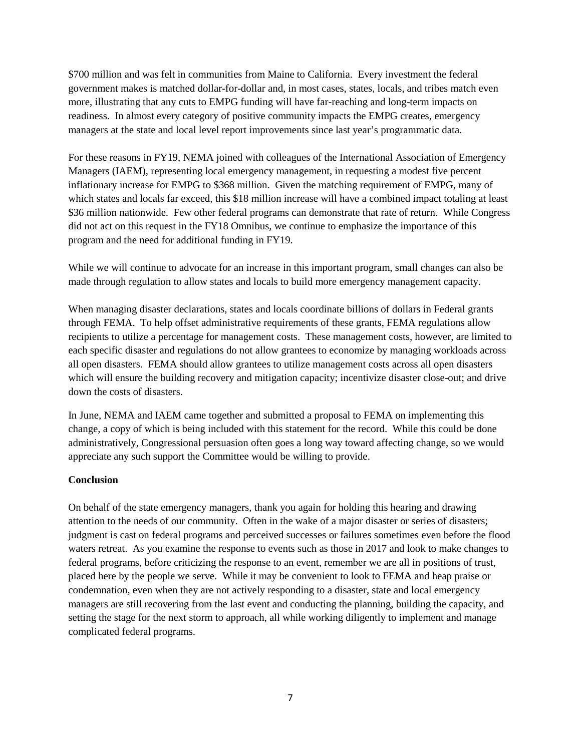\$700 million and was felt in communities from Maine to California. Every investment the federal government makes is matched dollar-for-dollar and, in most cases, states, locals, and tribes match even more, illustrating that any cuts to EMPG funding will have far-reaching and long-term impacts on readiness. In almost every category of positive community impacts the EMPG creates, emergency managers at the state and local level report improvements since last year's programmatic data.

For these reasons in FY19, NEMA joined with colleagues of the International Association of Emergency Managers (IAEM), representing local emergency management, in requesting a modest five percent inflationary increase for EMPG to \$368 million. Given the matching requirement of EMPG, many of which states and locals far exceed, this \$18 million increase will have a combined impact totaling at least \$36 million nationwide. Few other federal programs can demonstrate that rate of return. While Congress did not act on this request in the FY18 Omnibus, we continue to emphasize the importance of this program and the need for additional funding in FY19.

While we will continue to advocate for an increase in this important program, small changes can also be made through regulation to allow states and locals to build more emergency management capacity.

When managing disaster declarations, states and locals coordinate billions of dollars in Federal grants through FEMA. To help offset administrative requirements of these grants, FEMA regulations allow recipients to utilize a percentage for management costs. These management costs, however, are limited to each specific disaster and regulations do not allow grantees to economize by managing workloads across all open disasters. FEMA should allow grantees to utilize management costs across all open disasters which will ensure the building recovery and mitigation capacity; incentivize disaster close-out; and drive down the costs of disasters.

In June, NEMA and IAEM came together and submitted a proposal to FEMA on implementing this change, a copy of which is being included with this statement for the record. While this could be done administratively, Congressional persuasion often goes a long way toward affecting change, so we would appreciate any such support the Committee would be willing to provide.

#### **Conclusion**

On behalf of the state emergency managers, thank you again for holding this hearing and drawing attention to the needs of our community. Often in the wake of a major disaster or series of disasters; judgment is cast on federal programs and perceived successes or failures sometimes even before the flood waters retreat. As you examine the response to events such as those in 2017 and look to make changes to federal programs, before criticizing the response to an event, remember we are all in positions of trust, placed here by the people we serve. While it may be convenient to look to FEMA and heap praise or condemnation, even when they are not actively responding to a disaster, state and local emergency managers are still recovering from the last event and conducting the planning, building the capacity, and setting the stage for the next storm to approach, all while working diligently to implement and manage complicated federal programs.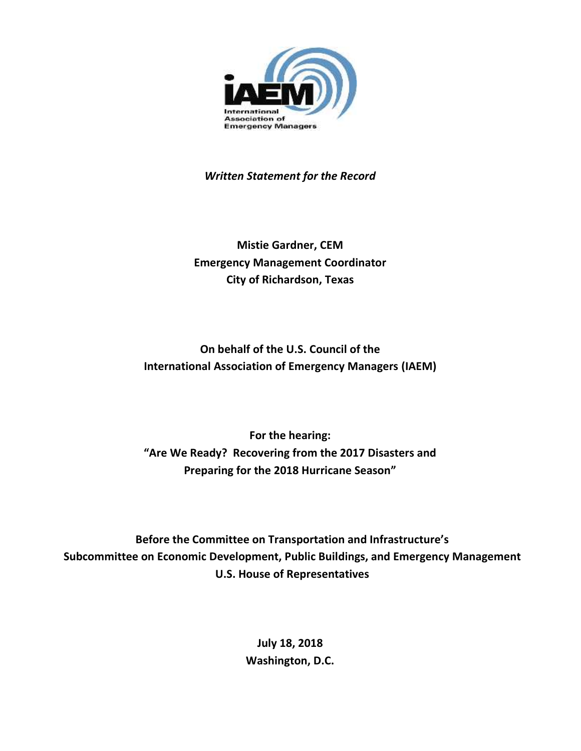<span id="page-23-0"></span>

*Written Statement for the Record*

**Mistie Gardner, CEM Emergency Management Coordinator City of Richardson, Texas**

**On behalf of the U.S. Council of the International Association of Emergency Managers (IAEM)**

**For the hearing: "Are We Ready? Recovering from the 2017 Disasters and Preparing for the 2018 Hurricane Season"**

**Before the Committee on Transportation and Infrastructure's Subcommittee on Economic Development, Public Buildings, and Emergency Management U.S. House of Representatives**

> **July 18, 2018 Washington, D.C.**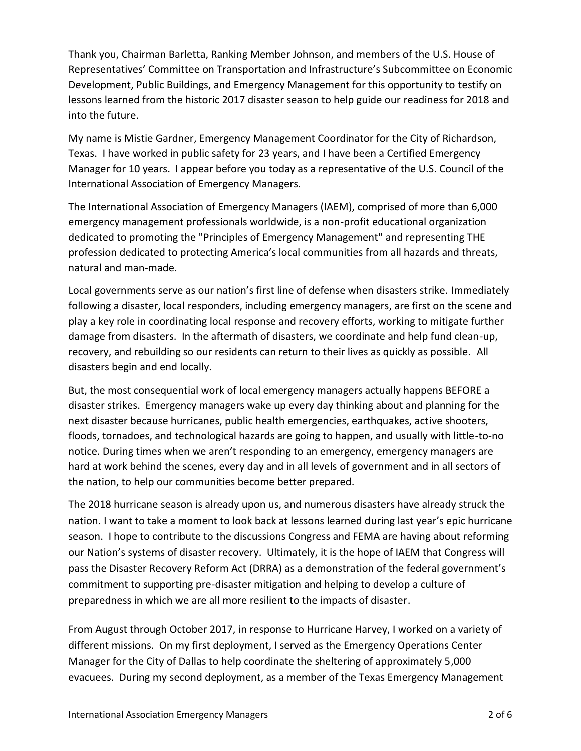Thank you, Chairman Barletta, Ranking Member Johnson, and members of the U.S. House of Representatives' Committee on Transportation and Infrastructure's Subcommittee on Economic Development, Public Buildings, and Emergency Management for this opportunity to testify on lessons learned from the historic 2017 disaster season to help guide our readiness for 2018 and into the future.

My name is Mistie Gardner, Emergency Management Coordinator for the City of Richardson, Texas. I have worked in public safety for 23 years, and I have been a Certified Emergency Manager for 10 years. I appear before you today as a representative of the U.S. Council of the International Association of Emergency Managers.

The International Association of Emergency Managers (IAEM), comprised of more than 6,000 emergency management professionals worldwide, is a non-profit educational organization dedicated to promoting the "Principles of Emergency Management" and representing THE profession dedicated to protecting America's local communities from all hazards and threats, natural and man-made.

Local governments serve as our nation's first line of defense when disasters strike. Immediately following a disaster, local responders, including emergency managers, are first on the scene and play a key role in coordinating local response and recovery efforts, working to mitigate further damage from disasters. In the aftermath of disasters, we coordinate and help fund clean-up, recovery, and rebuilding so our residents can return to their lives as quickly as possible. All disasters begin and end locally.

But, the most consequential work of local emergency managers actually happens BEFORE a disaster strikes. Emergency managers wake up every day thinking about and planning for the next disaster because hurricanes, public health emergencies, earthquakes, active shooters, floods, tornadoes, and technological hazards are going to happen, and usually with little-to-no notice. During times when we aren't responding to an emergency, emergency managers are hard at work behind the scenes, every day and in all levels of government and in all sectors of the nation, to help our communities become better prepared.

The 2018 hurricane season is already upon us, and numerous disasters have already struck the nation. I want to take a moment to look back at lessons learned during last year's epic hurricane season. I hope to contribute to the discussions Congress and FEMA are having about reforming our Nation's systems of disaster recovery. Ultimately, it is the hope of IAEM that Congress will pass the Disaster Recovery Reform Act (DRRA) as a demonstration of the federal government's commitment to supporting pre-disaster mitigation and helping to develop a culture of preparedness in which we are all more resilient to the impacts of disaster.

From August through October 2017, in response to Hurricane Harvey, I worked on a variety of different missions. On my first deployment, I served as the Emergency Operations Center Manager for the City of Dallas to help coordinate the sheltering of approximately 5,000 evacuees. During my second deployment, as a member of the Texas Emergency Management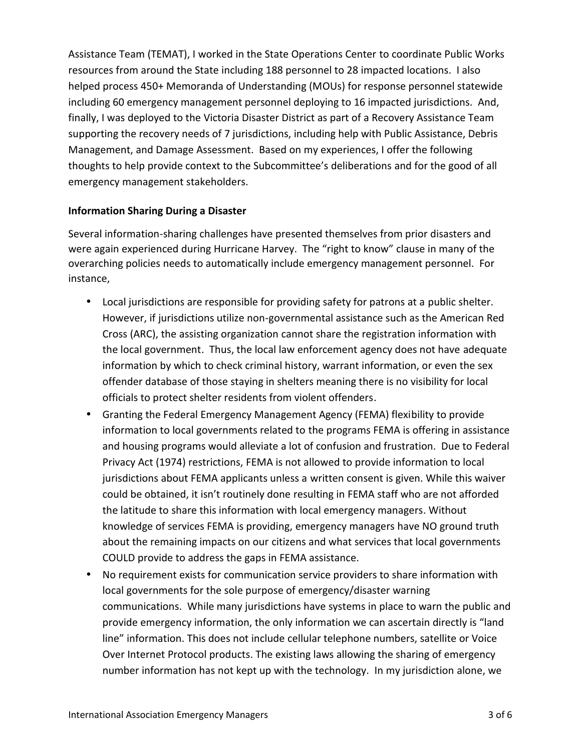Assistance Team (TEMAT), I worked in the State Operations Center to coordinate Public Works resources from around the State including 188 personnel to 28 impacted locations. I also helped process 450+ Memoranda of Understanding (MOUs) for response personnel statewide including 60 emergency management personnel deploying to 16 impacted jurisdictions. And, finally, I was deployed to the Victoria Disaster District as part of a Recovery Assistance Team supporting the recovery needs of 7 jurisdictions, including help with Public Assistance, Debris Management, and Damage Assessment. Based on my experiences, I offer the following thoughts to help provide context to the Subcommittee's deliberations and for the good of all emergency management stakeholders.

### **Information Sharing During a Disaster**

Several information-sharing challenges have presented themselves from prior disasters and were again experienced during Hurricane Harvey. The "right to know" clause in many of the overarching policies needs to automatically include emergency management personnel. For instance,

- Local jurisdictions are responsible for providing safety for patrons at a public shelter. However, if jurisdictions utilize non-governmental assistance such as the American Red Cross (ARC), the assisting organization cannot share the registration information with the local government. Thus, the local law enforcement agency does not have adequate information by which to check criminal history, warrant information, or even the sex offender database of those staying in shelters meaning there is no visibility for local officials to protect shelter residents from violent offenders.
- Granting the Federal Emergency Management Agency (FEMA) flexibility to provide information to local governments related to the programs FEMA is offering in assistance and housing programs would alleviate a lot of confusion and frustration. Due to Federal Privacy Act (1974) restrictions, FEMA is not allowed to provide information to local jurisdictions about FEMA applicants unless a written consent is given. While this waiver could be obtained, it isn't routinely done resulting in FEMA staff who are not afforded the latitude to share this information with local emergency managers. Without knowledge of services FEMA is providing, emergency managers have NO ground truth about the remaining impacts on our citizens and what services that local governments COULD provide to address the gaps in FEMA assistance.
- No requirement exists for communication service providers to share information with local governments for the sole purpose of emergency/disaster warning communications. While many jurisdictions have systems in place to warn the public and provide emergency information, the only information we can ascertain directly is "land line" information. This does not include cellular telephone numbers, satellite or Voice Over Internet Protocol products. The existing laws allowing the sharing of emergency number information has not kept up with the technology. In my jurisdiction alone, we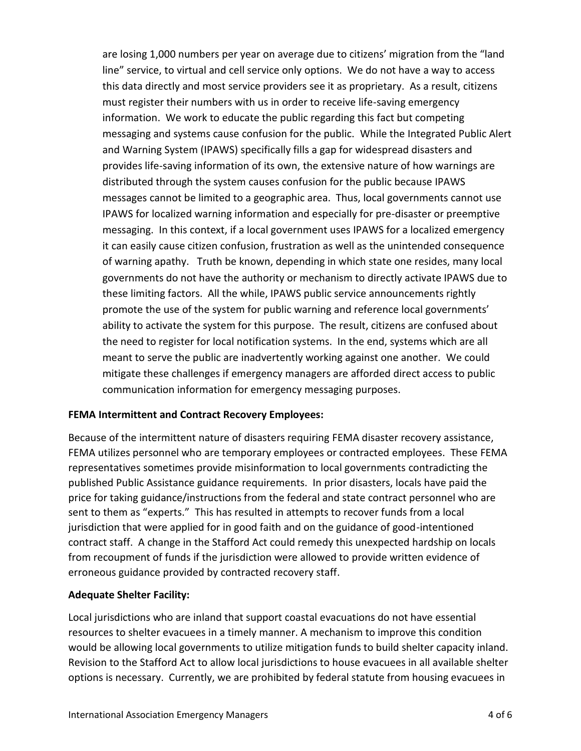are losing 1,000 numbers per year on average due to citizens' migration from the "land line" service, to virtual and cell service only options. We do not have a way to access this data directly and most service providers see it as proprietary. As a result, citizens must register their numbers with us in order to receive life-saving emergency information. We work to educate the public regarding this fact but competing messaging and systems cause confusion for the public. While the Integrated Public Alert and Warning System (IPAWS) specifically fills a gap for widespread disasters and provides life-saving information of its own, the extensive nature of how warnings are distributed through the system causes confusion for the public because IPAWS messages cannot be limited to a geographic area. Thus, local governments cannot use IPAWS for localized warning information and especially for pre-disaster or preemptive messaging. In this context, if a local government uses IPAWS for a localized emergency it can easily cause citizen confusion, frustration as well as the unintended consequence of warning apathy. Truth be known, depending in which state one resides, many local governments do not have the authority or mechanism to directly activate IPAWS due to these limiting factors. All the while, IPAWS public service announcements rightly promote the use of the system for public warning and reference local governments' ability to activate the system for this purpose. The result, citizens are confused about the need to register for local notification systems. In the end, systems which are all meant to serve the public are inadvertently working against one another. We could mitigate these challenges if emergency managers are afforded direct access to public communication information for emergency messaging purposes.

#### **FEMA Intermittent and Contract Recovery Employees:**

Because of the intermittent nature of disasters requiring FEMA disaster recovery assistance, FEMA utilizes personnel who are temporary employees or contracted employees. These FEMA representatives sometimes provide misinformation to local governments contradicting the published Public Assistance guidance requirements. In prior disasters, locals have paid the price for taking guidance/instructions from the federal and state contract personnel who are sent to them as "experts." This has resulted in attempts to recover funds from a local jurisdiction that were applied for in good faith and on the guidance of good-intentioned contract staff. A change in the Stafford Act could remedy this unexpected hardship on locals from recoupment of funds if the jurisdiction were allowed to provide written evidence of erroneous guidance provided by contracted recovery staff.

#### **Adequate Shelter Facility:**

Local jurisdictions who are inland that support coastal evacuations do not have essential resources to shelter evacuees in a timely manner. A mechanism to improve this condition would be allowing local governments to utilize mitigation funds to build shelter capacity inland. Revision to the Stafford Act to allow local jurisdictions to house evacuees in all available shelter options is necessary. Currently, we are prohibited by federal statute from housing evacuees in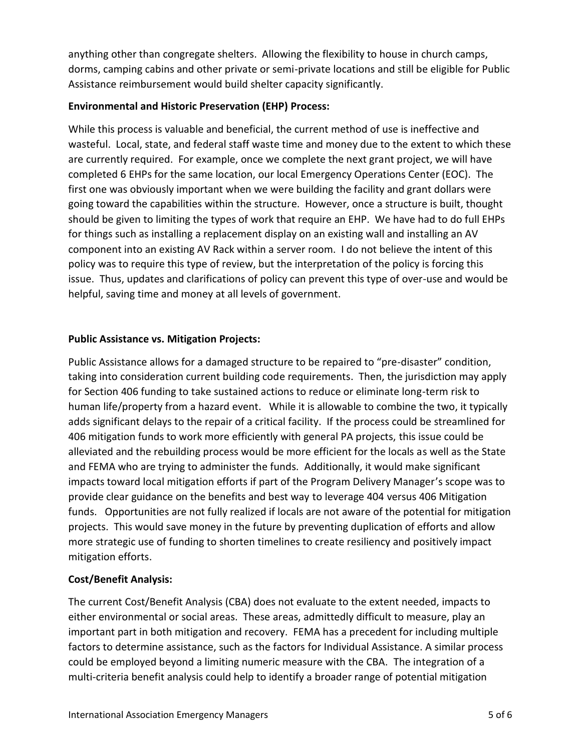anything other than congregate shelters. Allowing the flexibility to house in church camps, dorms, camping cabins and other private or semi-private locations and still be eligible for Public Assistance reimbursement would build shelter capacity significantly.

### **Environmental and Historic Preservation (EHP) Process:**

While this process is valuable and beneficial, the current method of use is ineffective and wasteful. Local, state, and federal staff waste time and money due to the extent to which these are currently required. For example, once we complete the next grant project, we will have completed 6 EHPs for the same location, our local Emergency Operations Center (EOC). The first one was obviously important when we were building the facility and grant dollars were going toward the capabilities within the structure. However, once a structure is built, thought should be given to limiting the types of work that require an EHP. We have had to do full EHPs for things such as installing a replacement display on an existing wall and installing an AV component into an existing AV Rack within a server room. I do not believe the intent of this policy was to require this type of review, but the interpretation of the policy is forcing this issue. Thus, updates and clarifications of policy can prevent this type of over-use and would be helpful, saving time and money at all levels of government.

### **Public Assistance vs. Mitigation Projects:**

Public Assistance allows for a damaged structure to be repaired to "pre-disaster" condition, taking into consideration current building code requirements. Then, the jurisdiction may apply for Section 406 funding to take sustained actions to reduce or eliminate long-term risk to human life/property from a hazard event. While it is allowable to combine the two, it typically adds significant delays to the repair of a critical facility. If the process could be streamlined for 406 mitigation funds to work more efficiently with general PA projects, this issue could be alleviated and the rebuilding process would be more efficient for the locals as well as the State and FEMA who are trying to administer the funds. Additionally, it would make significant impacts toward local mitigation efforts if part of the Program Delivery Manager's scope was to provide clear guidance on the benefits and best way to leverage 404 versus 406 Mitigation funds. Opportunities are not fully realized if locals are not aware of the potential for mitigation projects. This would save money in the future by preventing duplication of efforts and allow more strategic use of funding to shorten timelines to create resiliency and positively impact mitigation efforts.

### **Cost/Benefit Analysis:**

The current Cost/Benefit Analysis (CBA) does not evaluate to the extent needed, impacts to either environmental or social areas. These areas, admittedly difficult to measure, play an important part in both mitigation and recovery. FEMA has a precedent for including multiple factors to determine assistance, such as the factors for Individual Assistance. A similar process could be employed beyond a limiting numeric measure with the CBA. The integration of a multi-criteria benefit analysis could help to identify a broader range of potential mitigation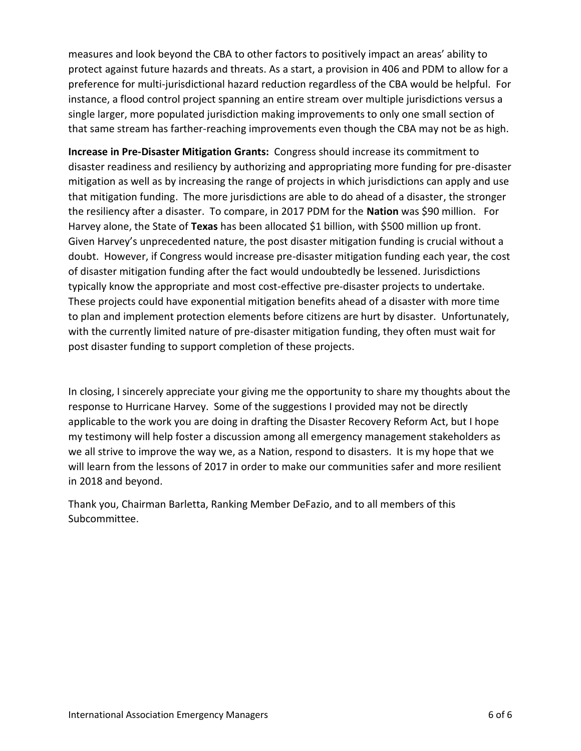measures and look beyond the CBA to other factors to positively impact an areas' ability to protect against future hazards and threats. As a start, a provision in 406 and PDM to allow for a preference for multi-jurisdictional hazard reduction regardless of the CBA would be helpful. For instance, a flood control project spanning an entire stream over multiple jurisdictions versus a single larger, more populated jurisdiction making improvements to only one small section of that same stream has farther-reaching improvements even though the CBA may not be as high.

**Increase in Pre-Disaster Mitigation Grants:** Congress should increase its commitment to disaster readiness and resiliency by authorizing and appropriating more funding for pre-disaster mitigation as well as by increasing the range of projects in which jurisdictions can apply and use that mitigation funding. The more jurisdictions are able to do ahead of a disaster, the stronger the resiliency after a disaster. To compare, in 2017 PDM for the **Nation** was \$90 million. For Harvey alone, the State of **Texas** has been allocated \$1 billion, with \$500 million up front. Given Harvey's unprecedented nature, the post disaster mitigation funding is crucial without a doubt. However, if Congress would increase pre-disaster mitigation funding each year, the cost of disaster mitigation funding after the fact would undoubtedly be lessened. Jurisdictions typically know the appropriate and most cost-effective pre-disaster projects to undertake. These projects could have exponential mitigation benefits ahead of a disaster with more time to plan and implement protection elements before citizens are hurt by disaster. Unfortunately, with the currently limited nature of pre-disaster mitigation funding, they often must wait for post disaster funding to support completion of these projects.

In closing, I sincerely appreciate your giving me the opportunity to share my thoughts about the response to Hurricane Harvey. Some of the suggestions I provided may not be directly applicable to the work you are doing in drafting the Disaster Recovery Reform Act, but I hope my testimony will help foster a discussion among all emergency management stakeholders as we all strive to improve the way we, as a Nation, respond to disasters. It is my hope that we will learn from the lessons of 2017 in order to make our communities safer and more resilient in 2018 and beyond.

Thank you, Chairman Barletta, Ranking Member DeFazio, and to all members of this Subcommittee.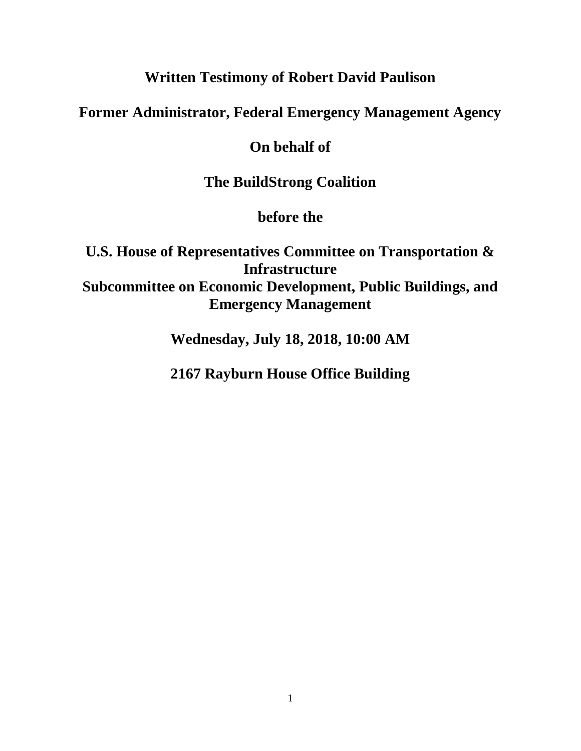# **Written Testimony of Robert David Paulison**

# <span id="page-29-0"></span>**Former Administrator, Federal Emergency Management Agency**

# **On behalf of**

# **The BuildStrong Coalition**

# **before the**

# **U.S. House of Representatives Committee on Transportation & Infrastructure Subcommittee on Economic Development, Public Buildings, and Emergency Management**

**Wednesday, July 18, 2018, 10:00 AM**

# **2167 Rayburn House Office Building**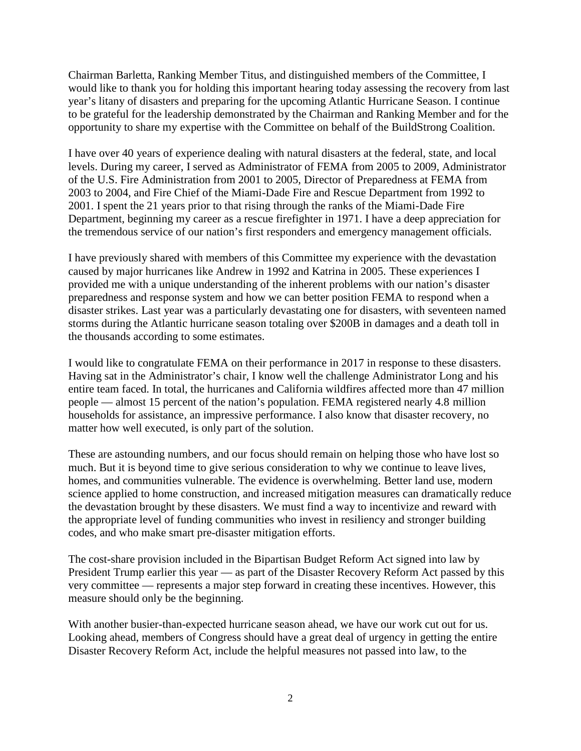Chairman Barletta, Ranking Member Titus, and distinguished members of the Committee, I would like to thank you for holding this important hearing today assessing the recovery from last year's litany of disasters and preparing for the upcoming Atlantic Hurricane Season. I continue to be grateful for the leadership demonstrated by the Chairman and Ranking Member and for the opportunity to share my expertise with the Committee on behalf of the BuildStrong Coalition.

I have over 40 years of experience dealing with natural disasters at the federal, state, and local levels. During my career, I served as Administrator of FEMA from 2005 to 2009, Administrator of the U.S. Fire Administration from 2001 to 2005, Director of Preparedness at FEMA from 2003 to 2004, and Fire Chief of the Miami-Dade Fire and Rescue Department from 1992 to 2001. I spent the 21 years prior to that rising through the ranks of the Miami-Dade Fire Department, beginning my career as a rescue firefighter in 1971. I have a deep appreciation for the tremendous service of our nation's first responders and emergency management officials.

I have previously shared with members of this Committee my experience with the devastation caused by major hurricanes like Andrew in 1992 and Katrina in 2005. These experiences I provided me with a unique understanding of the inherent problems with our nation's disaster preparedness and response system and how we can better position FEMA to respond when a disaster strikes. Last year was a particularly devastating one for disasters, with seventeen named storms during the Atlantic hurricane season totaling over \$200B in damages and a death toll in the thousands according to some estimates.

I would like to congratulate FEMA on their performance in 2017 in response to these disasters. Having sat in the Administrator's chair, I know well the challenge Administrator Long and his entire team faced. In total, the hurricanes and California wildfires affected more than 47 million people — almost 15 percent of the nation's population. FEMA registered nearly 4.8 million households for assistance, an impressive performance. I also know that disaster recovery, no matter how well executed, is only part of the solution.

These are astounding numbers, and our focus should remain on helping those who have lost so much. But it is beyond time to give serious consideration to why we continue to leave lives, homes, and communities vulnerable. The evidence is overwhelming. Better land use, modern science applied to home construction, and increased mitigation measures can dramatically reduce the devastation brought by these disasters. We must find a way to incentivize and reward with the appropriate level of funding communities who invest in resiliency and stronger building codes, and who make smart pre-disaster mitigation efforts.

The cost-share provision included in the Bipartisan Budget Reform Act signed into law by President Trump earlier this year — as part of the Disaster Recovery Reform Act passed by this very committee — represents a major step forward in creating these incentives. However, this measure should only be the beginning.

With another busier-than-expected hurricane season ahead, we have our work cut out for us. Looking ahead, members of Congress should have a great deal of urgency in getting the entire Disaster Recovery Reform Act, include the helpful measures not passed into law, to the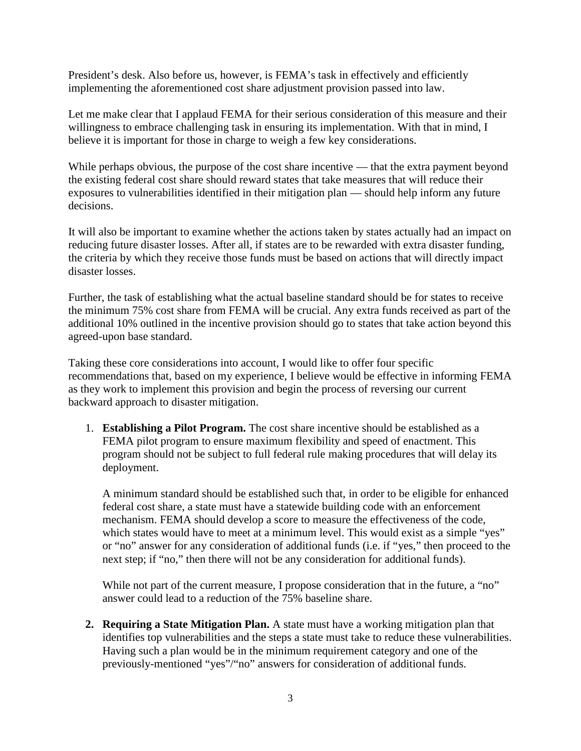President's desk. Also before us, however, is FEMA's task in effectively and efficiently implementing the aforementioned cost share adjustment provision passed into law.

Let me make clear that I applaud FEMA for their serious consideration of this measure and their willingness to embrace challenging task in ensuring its implementation. With that in mind, I believe it is important for those in charge to weigh a few key considerations.

While perhaps obvious, the purpose of the cost share incentive — that the extra payment beyond the existing federal cost share should reward states that take measures that will reduce their exposures to vulnerabilities identified in their mitigation plan — should help inform any future decisions.

It will also be important to examine whether the actions taken by states actually had an impact on reducing future disaster losses. After all, if states are to be rewarded with extra disaster funding, the criteria by which they receive those funds must be based on actions that will directly impact disaster losses.

Further, the task of establishing what the actual baseline standard should be for states to receive the minimum 75% cost share from FEMA will be crucial. Any extra funds received as part of the additional 10% outlined in the incentive provision should go to states that take action beyond this agreed-upon base standard.

Taking these core considerations into account, I would like to offer four specific recommendations that, based on my experience, I believe would be effective in informing FEMA as they work to implement this provision and begin the process of reversing our current backward approach to disaster mitigation.

1. **Establishing a Pilot Program.** The cost share incentive should be established as a FEMA pilot program to ensure maximum flexibility and speed of enactment. This program should not be subject to full federal rule making procedures that will delay its deployment.

A minimum standard should be established such that, in order to be eligible for enhanced federal cost share, a state must have a statewide building code with an enforcement mechanism. FEMA should develop a score to measure the effectiveness of the code, which states would have to meet at a minimum level. This would exist as a simple "yes" or "no" answer for any consideration of additional funds (i.e. if "yes," then proceed to the next step; if "no," then there will not be any consideration for additional funds).

While not part of the current measure, I propose consideration that in the future, a "no" answer could lead to a reduction of the 75% baseline share.

**2. Requiring a State Mitigation Plan.** A state must have a working mitigation plan that identifies top vulnerabilities and the steps a state must take to reduce these vulnerabilities. Having such a plan would be in the minimum requirement category and one of the previously-mentioned "yes"/"no" answers for consideration of additional funds.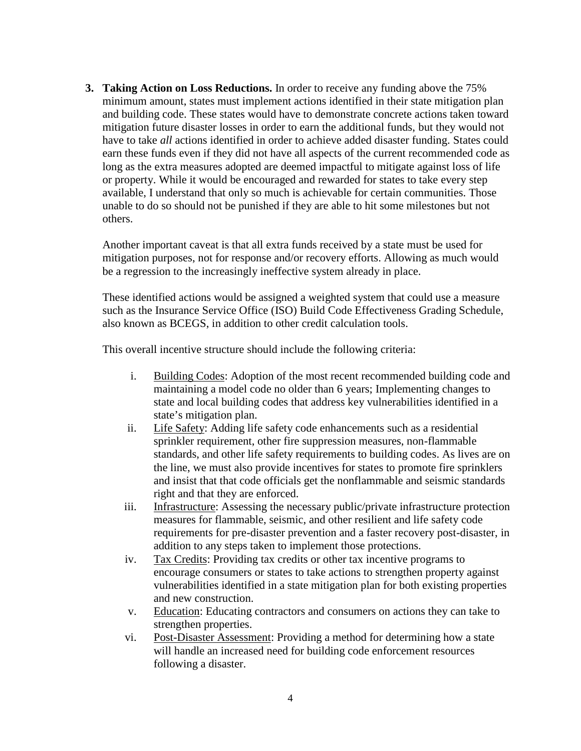**3. Taking Action on Loss Reductions.** In order to receive any funding above the 75% minimum amount, states must implement actions identified in their state mitigation plan and building code. These states would have to demonstrate concrete actions taken toward mitigation future disaster losses in order to earn the additional funds, but they would not have to take *all* actions identified in order to achieve added disaster funding. States could earn these funds even if they did not have all aspects of the current recommended code as long as the extra measures adopted are deemed impactful to mitigate against loss of life or property. While it would be encouraged and rewarded for states to take every step available, I understand that only so much is achievable for certain communities. Those unable to do so should not be punished if they are able to hit some milestones but not others.

Another important caveat is that all extra funds received by a state must be used for mitigation purposes, not for response and/or recovery efforts. Allowing as much would be a regression to the increasingly ineffective system already in place.

These identified actions would be assigned a weighted system that could use a measure such as the Insurance Service Office (ISO) Build Code Effectiveness Grading Schedule, also known as BCEGS, in addition to other credit calculation tools.

This overall incentive structure should include the following criteria:

- i. Building Codes: Adoption of the most recent recommended building code and maintaining a model code no older than 6 years; Implementing changes to state and local building codes that address key vulnerabilities identified in a state's mitigation plan.
- ii. Life Safety: Adding life safety code enhancements such as a residential sprinkler requirement, other fire suppression measures, non-flammable standards, and other life safety requirements to building codes. As lives are on the line, we must also provide incentives for states to promote fire sprinklers and insist that that code officials get the nonflammable and seismic standards right and that they are enforced.
- iii. Infrastructure: Assessing the necessary public/private infrastructure protection measures for flammable, seismic, and other resilient and life safety code requirements for pre-disaster prevention and a faster recovery post-disaster, in addition to any steps taken to implement those protections.
- iv. Tax Credits: Providing tax credits or other tax incentive programs to encourage consumers or states to take actions to strengthen property against vulnerabilities identified in a state mitigation plan for both existing properties and new construction.
- v. Education: Educating contractors and consumers on actions they can take to strengthen properties.
- vi. Post-Disaster Assessment: Providing a method for determining how a state will handle an increased need for building code enforcement resources following a disaster.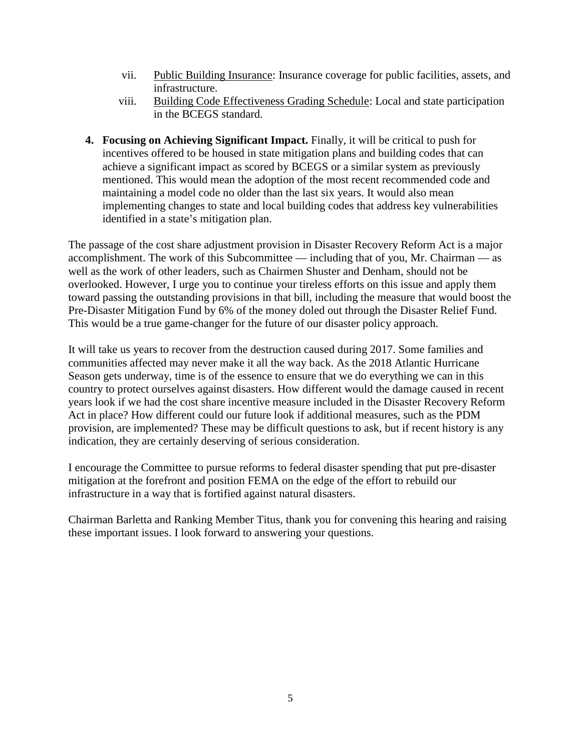- vii. Public Building Insurance: Insurance coverage for public facilities, assets, and infrastructure.
- viii. Building Code Effectiveness Grading Schedule: Local and state participation in the BCEGS standard.
- **4. Focusing on Achieving Significant Impact.** Finally, it will be critical to push for incentives offered to be housed in state mitigation plans and building codes that can achieve a significant impact as scored by BCEGS or a similar system as previously mentioned. This would mean the adoption of the most recent recommended code and maintaining a model code no older than the last six years. It would also mean implementing changes to state and local building codes that address key vulnerabilities identified in a state's mitigation plan.

The passage of the cost share adjustment provision in Disaster Recovery Reform Act is a major accomplishment. The work of this Subcommittee — including that of you, Mr. Chairman — as well as the work of other leaders, such as Chairmen Shuster and Denham, should not be overlooked. However, I urge you to continue your tireless efforts on this issue and apply them toward passing the outstanding provisions in that bill, including the measure that would boost the Pre-Disaster Mitigation Fund by 6% of the money doled out through the Disaster Relief Fund. This would be a true game-changer for the future of our disaster policy approach.

It will take us years to recover from the destruction caused during 2017. Some families and communities affected may never make it all the way back. As the 2018 Atlantic Hurricane Season gets underway, time is of the essence to ensure that we do everything we can in this country to protect ourselves against disasters. How different would the damage caused in recent years look if we had the cost share incentive measure included in the Disaster Recovery Reform Act in place? How different could our future look if additional measures, such as the PDM provision, are implemented? These may be difficult questions to ask, but if recent history is any indication, they are certainly deserving of serious consideration.

I encourage the Committee to pursue reforms to federal disaster spending that put pre-disaster mitigation at the forefront and position FEMA on the edge of the effort to rebuild our infrastructure in a way that is fortified against natural disasters.

Chairman Barletta and Ranking Member Titus, thank you for convening this hearing and raising these important issues. I look forward to answering your questions.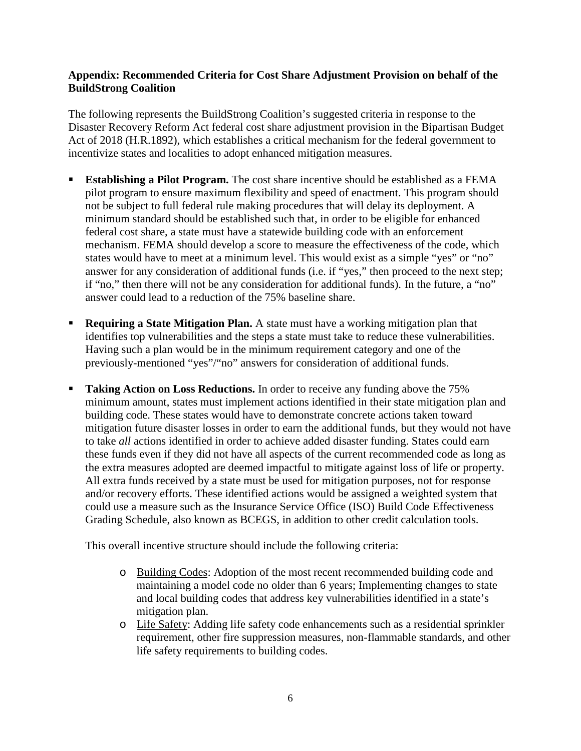### **Appendix: Recommended Criteria for Cost Share Adjustment Provision on behalf of the BuildStrong Coalition**

The following represents the BuildStrong Coalition's suggested criteria in response to the Disaster Recovery Reform Act federal cost share adjustment provision in the Bipartisan Budget Act of 2018 (H.R.1892), which establishes a critical mechanism for the federal government to incentivize states and localities to adopt enhanced mitigation measures.

- **Establishing a Pilot Program.** The cost share incentive should be established as a FEMA pilot program to ensure maximum flexibility and speed of enactment. This program should not be subject to full federal rule making procedures that will delay its deployment. A minimum standard should be established such that, in order to be eligible for enhanced federal cost share, a state must have a statewide building code with an enforcement mechanism. FEMA should develop a score to measure the effectiveness of the code, which states would have to meet at a minimum level. This would exist as a simple "yes" or "no" answer for any consideration of additional funds (i.e. if "yes," then proceed to the next step; if "no," then there will not be any consideration for additional funds). In the future, a "no" answer could lead to a reduction of the 75% baseline share.
- **Requiring a State Mitigation Plan.** A state must have a working mitigation plan that identifies top vulnerabilities and the steps a state must take to reduce these vulnerabilities. Having such a plan would be in the minimum requirement category and one of the previously-mentioned "yes"/"no" answers for consideration of additional funds.
- **Taking Action on Loss Reductions.** In order to receive any funding above the 75% minimum amount, states must implement actions identified in their state mitigation plan and building code. These states would have to demonstrate concrete actions taken toward mitigation future disaster losses in order to earn the additional funds, but they would not have to take *all* actions identified in order to achieve added disaster funding. States could earn these funds even if they did not have all aspects of the current recommended code as long as the extra measures adopted are deemed impactful to mitigate against loss of life or property. All extra funds received by a state must be used for mitigation purposes, not for response and/or recovery efforts. These identified actions would be assigned a weighted system that could use a measure such as the Insurance Service Office (ISO) Build Code Effectiveness Grading Schedule, also known as BCEGS, in addition to other credit calculation tools.

This overall incentive structure should include the following criteria:

- o Building Codes: Adoption of the most recent recommended building code and maintaining a model code no older than 6 years; Implementing changes to state and local building codes that address key vulnerabilities identified in a state's mitigation plan.
- o Life Safety: Adding life safety code enhancements such as a residential sprinkler requirement, other fire suppression measures, non-flammable standards, and other life safety requirements to building codes.